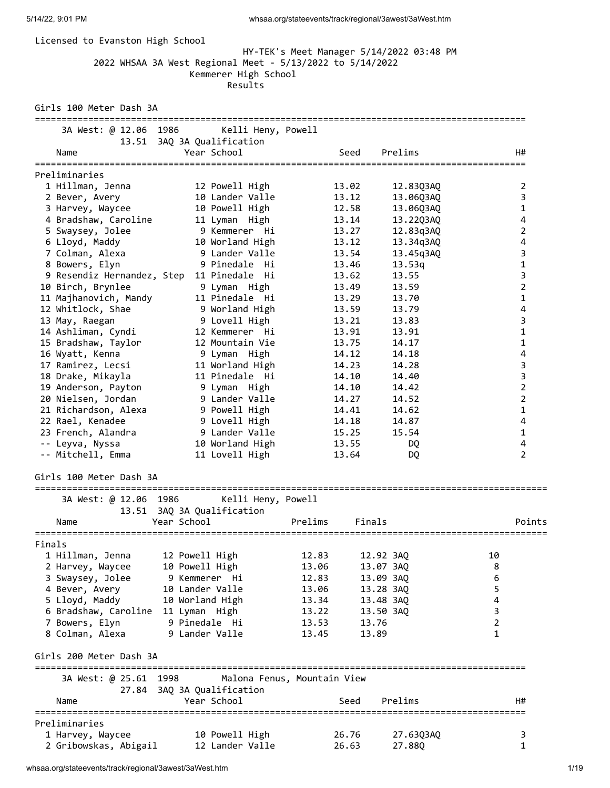| Licensed to Evanston High School                                                     | 2022 WHSAA 3A West Regional Meet - 5/13/2022 to 5/14/2022<br>Kemmerer High School<br>Results |                             | HY-TEK's Meet Manager 5/14/2022 03:48 PM |                     |
|--------------------------------------------------------------------------------------|----------------------------------------------------------------------------------------------|-----------------------------|------------------------------------------|---------------------|
| Girls 100 Meter Dash 3A<br>================================                          |                                                                                              |                             |                                          |                     |
| 3A West: @ 12.06 1986                                                                | Kelli Heny, Powell                                                                           |                             |                                          |                     |
| Name                                                                                 | 13.51 3AQ 3A Qualification<br>Year School                                                    | Seed                        | Prelims                                  | H#                  |
| ======================<br>Preliminaries                                              |                                                                                              |                             |                                          |                     |
| 1 Hillman, Jenna                                                                     | 12 Powell High                                                                               | 13.02                       | 12.83Q3AQ                                | 2                   |
| 2 Bever, Avery                                                                       | 10 Lander Valle                                                                              | 13.12                       | 13.06Q3AQ                                | 3                   |
| 3 Harvey, Waycee                                                                     | 10 Powell High                                                                               | 12.58                       | 13.06Q3AQ                                | 1                   |
| 4 Bradshaw, Caroline                                                                 | 11 Lyman High                                                                                | 13.14                       | 13.22Q3AQ                                | 4                   |
| 5 Swaysey, Jolee                                                                     | 9 Kemmerer  Hi                                                                               | 13.27                       | 12.83q3AQ                                | 2                   |
| 6 Lloyd, Maddy                                                                       | 10 Worland High                                                                              | 13.12                       | 13.34q3AQ                                | $\overline{4}$      |
| 7 Colman, Alexa                                                                      | 9 Lander Valle                                                                               | 13.54                       | 13.45q3AQ                                | 3                   |
| 8 Bowers, Elyn                                                                       | 9 Pinedale Hi                                                                                | 13.46                       | 13.53q                                   | $\mathbf 1$         |
|                                                                                      | 9 Resendiz Hernandez, Step 11 Pinedale Hi                                                    | 13.62                       | 13.55                                    | 3                   |
| 10 Birch, Brynlee                                                                    | 9 Lyman High                                                                                 | 13.49                       | 13.59                                    | $\overline{2}$      |
| 11 Majhanovich, Mandy                                                                | 11 Pinedale Hi                                                                               | 13.29                       | 13.70                                    | 1                   |
| 12 Whitlock, Shae                                                                    | 9 Worland High                                                                               | 13.59                       | 13.79                                    | 4                   |
| 13 May, Raegan                                                                       | 9 Lovell High                                                                                | 13.21                       | 13.83                                    | 3                   |
| 14 Ashliman, Cyndi                                                                   | 12 Kemmerer Hi                                                                               | 13.91                       | 13.91                                    | $\mathbf{1}$        |
| 15 Bradshaw, Taylor                                                                  | 12 Mountain Vie                                                                              | 13.75                       | 14.17                                    | 1                   |
| 16 Wyatt, Kenna                                                                      | 9 Lyman High                                                                                 | 14.12                       | 14.18                                    | 4                   |
| 17 Ramirez, Lecsi                                                                    | 11 Worland High                                                                              | 14.23                       | 14.28                                    | 3                   |
| 18 Drake, Mikayla                                                                    | 11 Pinedale Hi                                                                               | 14.10                       | 14.40                                    | 3                   |
| 19 Anderson, Payton                                                                  | 9 Lyman High                                                                                 | 14.10                       | 14.42                                    | 2                   |
| 20 Nielsen, Jordan                                                                   | 9 Lander Valle                                                                               | 14.27                       | 14.52                                    | 2                   |
| 21 Richardson, Alexa                                                                 | 9 Powell High                                                                                | 14.41<br>14.18              | 14.62                                    | 1<br>$\overline{4}$ |
| 22 Rael, Kenadee                                                                     | 9 Lovell High<br>9 Lander Valle                                                              |                             | 14.87                                    | $\mathbf{1}$        |
| 23 French, Alandra<br>-- Leyva, Nyssa                                                | 10 Worland High                                                                              | 15.25<br>13.55              | 15.54<br>DQ                              | 4                   |
| -- Mitchell, Emma                                                                    | 11 Lovell High                                                                               | 13.64                       | DQ                                       | 2                   |
| Girls 100 Meter Dash 3A<br>================================<br>3A West: @ 12.06 1986 | Kelli Heny, Powell                                                                           |                             |                                          |                     |
|                                                                                      | 13.51 3AQ 3A Qualification                                                                   |                             |                                          |                     |
| Name                                                                                 | Year School                                                                                  | Prelims                     | Finals                                   | Points              |
| Finals                                                                               |                                                                                              |                             |                                          |                     |
| 1 Hillman, Jenna                                                                     | 12 Powell High                                                                               | 12.83                       | 12.92 3AQ                                | 10                  |
| 2 Harvey, Waycee                                                                     | 10 Powell High                                                                               | 13.06                       | 13.07 3AQ                                | 8                   |
| 3 Swaysey, Jolee                                                                     | 9 Kemmerer Hi                                                                                | 12.83                       | 13.09 3AQ                                | 6                   |
| 4 Bever, Avery                                                                       | 10 Lander Valle                                                                              | 13.06                       | 13.28 3AQ                                | 5                   |
| 5 Lloyd, Maddy                                                                       | 10 Worland High                                                                              | 13.34                       | 13.48 3AO                                | 4                   |
| 6 Bradshaw, Caroline 11 Lyman High                                                   |                                                                                              | 13.22                       | 13.50 3AQ                                | 3                   |
| 7 Bowers, Elyn                                                                       | 9 Pinedale Hi                                                                                | 13.53                       | 13.76                                    | $\overline{2}$      |
| 8 Colman, Alexa                                                                      | 9 Lander Valle                                                                               | 13.45                       | 13.89                                    | $\mathbf{1}$        |
| Girls 200 Meter Dash 3A<br>=================================                         |                                                                                              |                             |                                          |                     |
| 3A West: @ 25.61 1998                                                                |                                                                                              | Malona Fenus, Mountain View |                                          |                     |
|                                                                                      | 27.84 3AQ 3A Qualification                                                                   |                             |                                          |                     |
| Name                                                                                 | Year School                                                                                  | Seed                        | Prelims                                  | H#                  |
| Preliminaries                                                                        |                                                                                              |                             |                                          |                     |
| 1 Harvey, Waycee<br>2 Gribowskas, Abigail                                            | 10 Powell High<br>12 Lander Valle                                                            | 26.76<br>26.63              | 27.63Q3AQ<br>27.88Q                      | 3<br>1              |
|                                                                                      |                                                                                              |                             |                                          |                     |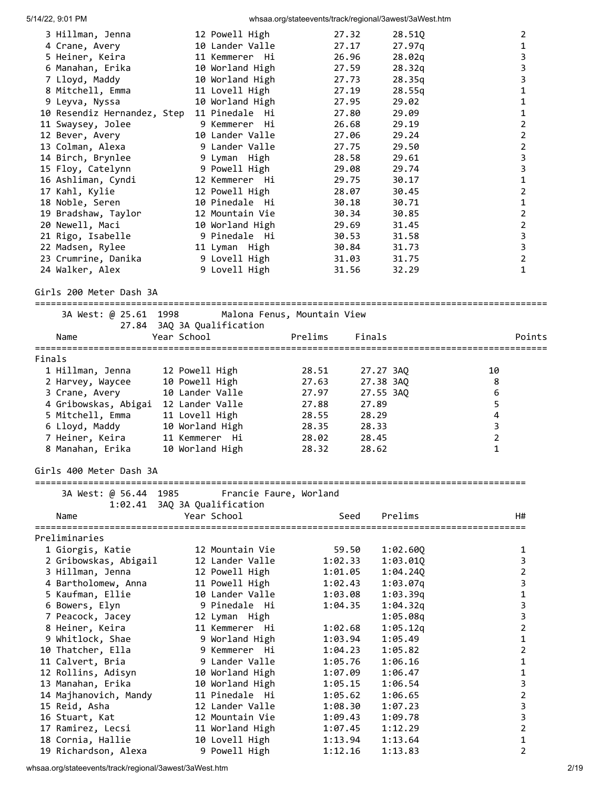| 5/14/22, 9:01 PM                           |                                    | whsaa.org/stateevents/track/regional/3awest/3aWest.htm |                    |                    |                  |                               |
|--------------------------------------------|------------------------------------|--------------------------------------------------------|--------------------|--------------------|------------------|-------------------------------|
| 3 Hillman, Jenna                           | 12 Powell High                     |                                                        | 27.32              | 28.510             |                  | 2                             |
| 4 Crane, Avery                             | 10 Lander Valle                    |                                                        | 27.17              | 27.97q             |                  | $\mathbf{1}$                  |
| 5 Heiner, Keira                            | 11 Kemmerer Hi                     |                                                        | 26.96              | 28.02q             |                  | 3                             |
| 6 Manahan, Erika                           | 10 Worland High                    |                                                        | 27.59              | 28.32q             |                  | 3                             |
| 7 Lloyd, Maddy                             | 10 Worland High                    |                                                        | 27.73              | 28.35q             |                  | 3                             |
| 8 Mitchell, Emma                           | 11 Lovell High                     |                                                        | 27.19              | 28.55q             |                  | $\mathbf{1}$                  |
| 9 Leyva, Nyssa                             | 10 Worland High                    |                                                        | 27.95              | 29.02              |                  | 1                             |
| 10 Resendiz Hernandez, Step 11 Pinedale Hi |                                    |                                                        | 27.80              | 29.09              |                  | 1                             |
| 11 Swaysey, Jolee                          | 9 Kemmerer Hi                      |                                                        | 26.68              | 29.19              |                  | $\overline{2}$                |
| 12 Bever, Avery                            | 10 Lander Valle                    |                                                        | 27.06              | 29.24              |                  | $\overline{2}$                |
| 13 Colman, Alexa                           | 9 Lander Valle                     |                                                        | 27.75              | 29.50              |                  | $\overline{2}$                |
| 14 Birch, Brynlee                          | 9 Lyman High                       |                                                        | 28.58              | 29.61              |                  | 3                             |
| 15 Floy, Catelynn                          | 9 Powell High                      |                                                        | 29.08              | 29.74              |                  | 3                             |
| 16 Ashliman, Cyndi                         | 12 Kemmerer Hi                     |                                                        | 29.75              | 30.17              |                  | $\mathbf 1$<br>$\overline{2}$ |
| 17 Kahl, Kylie<br>18 Noble, Seren          | 12 Powell High<br>10 Pinedale Hi   |                                                        | 28.07<br>30.18     | 30.45<br>30.71     |                  | $\mathbf{1}$                  |
| 19 Bradshaw, Taylor                        | 12 Mountain Vie                    |                                                        | 30.34              | 30.85              |                  | $\overline{2}$                |
| 20 Newell, Maci                            | 10 Worland High                    |                                                        | 29.69              | 31.45              |                  | $\overline{2}$                |
| 21 Rigo, Isabelle                          | 9 Pinedale Hi                      |                                                        | 30.53              | 31.58              |                  | 3                             |
| 22 Madsen, Rylee                           | 11 Lyman High                      |                                                        | 30.84              | 31.73              |                  | $\overline{\mathbf{3}}$       |
| 23 Crumrine, Danika                        | 9 Lovell High                      |                                                        | 31.03              | 31.75              |                  | $\overline{2}$                |
| 24 Walker, Alex                            | 9 Lovell High                      |                                                        | 31.56              | 32.29              |                  | $\mathbf{1}$                  |
|                                            |                                    |                                                        |                    |                    |                  |                               |
| Girls 200 Meter Dash 3A                    |                                    |                                                        |                    |                    |                  |                               |
| 3A West: @ 25.61 1998                      |                                    | Malona Fenus, Mountain View                            |                    |                    |                  |                               |
|                                            | 27.84 3AQ 3A Qualification         |                                                        |                    |                    |                  |                               |
| Name                                       | Year School                        | Prelims                                                | Finals             |                    |                  | Points                        |
| Finals                                     |                                    |                                                        |                    |                    |                  |                               |
| 1 Hillman, Jenna                           | 12 Powell High                     | 28.51                                                  | 27.27 3AQ          |                    | 10               |                               |
| 2 Harvey, Waycee                           | 10 Powell High                     | 27.63                                                  | 27.38 3AQ          |                    | 8                |                               |
| 3 Crane, Avery                             | 10 Lander Valle                    | 27.97                                                  | 27.55 3AQ          |                    | $\boldsymbol{6}$ |                               |
| 4 Gribowskas, Abigai                       | 12 Lander Valle                    | 27.88                                                  | 27.89              |                    | 5                |                               |
| 5 Mitchell, Emma                           | 11 Lovell High                     | 28.55                                                  | 28.29              |                    | 4                |                               |
| 6 Lloyd, Maddy                             | 10 Worland High                    | 28.35                                                  | 28.33              |                    | 3                |                               |
| 7 Heiner, Keira                            | 11 Kemmerer Hi                     | 28.02                                                  | 28.45              |                    | $\overline{2}$   |                               |
| 8 Manahan, Erika                           | 10 Worland High                    | 28.32                                                  | 28.62              |                    | $\mathbf 1$      |                               |
| Girls 400 Meter Dash 3A                    |                                    |                                                        |                    |                    |                  |                               |
| 3A West: @ 56.44 1985                      | 1:02.41 3AQ 3A Qualification       | Francie Faure, Worland                                 |                    |                    |                  |                               |
| Name                                       | Year School                        |                                                        | Seed               | Prelims            |                  | H#                            |
|                                            |                                    |                                                        |                    |                    |                  |                               |
| Preliminaries                              |                                    |                                                        |                    |                    |                  |                               |
| 1 Giorgis, Katie                           | 12 Mountain Vie                    |                                                        | 59.50              | 1:02.60Q           |                  | 1                             |
| 2 Gribowskas, Abigail                      | 12 Lander Valle                    |                                                        | 1:02.33            | 1:03.010           |                  | 3                             |
| 3 Hillman, Jenna                           | 12 Powell High                     |                                                        | 1:01.05            | 1:04.240           |                  | $\overline{2}$                |
| 4 Bartholomew, Anna                        | 11 Powell High                     |                                                        | 1:02.43            | 1:03.07q           |                  | 3                             |
| 5 Kaufman, Ellie                           | 10 Lander Valle                    |                                                        | 1:03.08            | 1:03.39q           |                  | 1                             |
| 6 Bowers, Elyn                             | 9 Pinedale Hi                      |                                                        | 1:04.35            | 1:04.32q           |                  | 3                             |
| 7 Peacock, Jacey                           | 12 Lyman High                      |                                                        |                    | 1:05.08q           |                  | 3                             |
| 8 Heiner, Keira                            | 11 Kemmerer Hi                     |                                                        | 1:02.68            | 1:05.12q           |                  | $\overline{2}$                |
| 9 Whitlock, Shae                           | 9 Worland High                     |                                                        | 1:03.94            | 1:05.49            |                  | 1                             |
| 10 Thatcher, Ella                          | 9 Kemmerer Hi                      |                                                        | 1:04.23            | 1:05.82            |                  | $\overline{2}$                |
| 11 Calvert, Bria                           | 9 Lander Valle                     |                                                        | 1:05.76            | 1:06.16            |                  | 1<br>1                        |
| 12 Rollins, Adisyn<br>13 Manahan, Erika    | 10 Worland High<br>10 Worland High |                                                        | 1:07.09<br>1:05.15 | 1:06.47<br>1:06.54 |                  | 3                             |
| 14 Majhanovich, Mandy                      | 11 Pinedale Hi                     |                                                        | 1:05.62            | 1:06.65            |                  | $\overline{2}$                |
| 15 Reid, Asha                              | 12 Lander Valle                    |                                                        | 1:08.30            | 1:07.23            |                  | 3                             |
| 16 Stuart, Kat                             | 12 Mountain Vie                    |                                                        | 1:09.43            | 1:09.78            |                  | 3                             |
| 17 Ramirez, Lecsi                          | 11 Worland High                    |                                                        | 1:07.45            | 1:12.29            |                  | $\overline{2}$                |
| 18 Cornia, Hallie                          | 10 Lovell High                     |                                                        | 1:13.94            | 1:13.64            |                  | 1                             |
| 19 Richardson, Alexa                       | 9 Powell High                      |                                                        | 1:12.16            | 1:13.83            |                  | $\overline{2}$                |

whsaa.org/stateevents/track/regional/3awest/3aWest.htm 2/19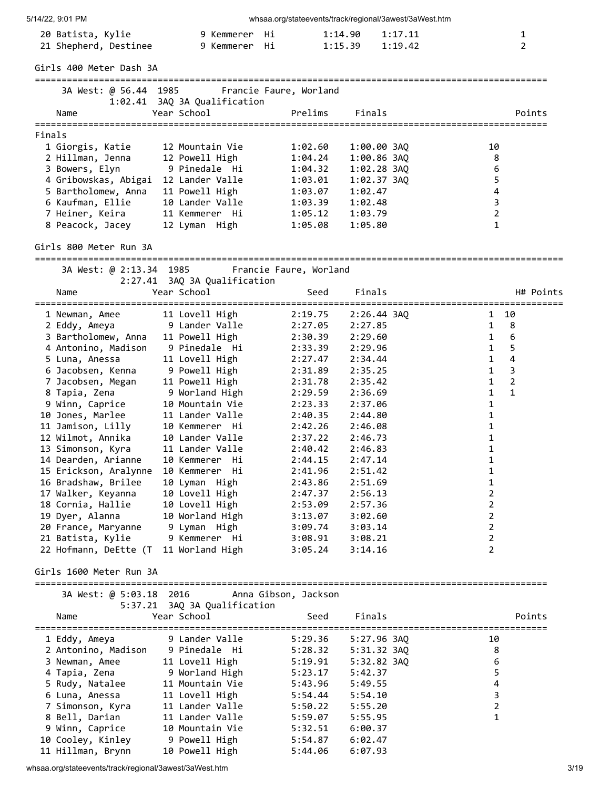| 5/14/22, 9:01 PM                             |                                              |                        | whsaa.org/stateevents/track/regional/3awest/3aWest.htm |                                                |
|----------------------------------------------|----------------------------------------------|------------------------|--------------------------------------------------------|------------------------------------------------|
| 20 Batista, Kylie<br>21 Shepherd, Destinee   | 9 Kemmerer<br>9 Kemmerer                     | Hi<br>Hi               | 1:14.90<br>1:17.11<br>1:15.39<br>1:19.42               | $\mathbf{1}$<br>$\overline{2}$                 |
| Girls 400 Meter Dash 3A                      |                                              |                        |                                                        |                                                |
| 3A West: @ 56.44 1985                        |                                              | Francie Faure, Worland |                                                        |                                                |
|                                              | 1:02.41 3AQ 3A Qualification                 |                        |                                                        |                                                |
| Name                                         | Year School                                  | Prelims                | Finals                                                 | Points                                         |
| Finals                                       |                                              |                        |                                                        |                                                |
| 1 Giorgis, Katie                             | 12 Mountain Vie                              | 1:02.60                | 1:00.00 3AQ                                            | 10                                             |
| 2 Hillman, Jenna<br>3 Bowers, Elyn           | 12 Powell High<br>9 Pinedale Hi              | 1:04.24<br>1:04.32     | $1:00.86$ 3AQ<br>$1:02.28$ $3AQ$                       | 8<br>6                                         |
| 4 Gribowskas, Abigai 12 Lander Valle         |                                              | 1:03.01                | 1:02.37 3AQ                                            | 5                                              |
| 5 Bartholomew, Anna                          | 11 Powell High                               | 1:03.07                | 1:02.47                                                | 4                                              |
| 6 Kaufman, Ellie                             | 10 Lander Valle                              | 1:03.39                | 1:02.48                                                | $\mathsf{3}$                                   |
| 7 Heiner, Keira<br>8 Peacock, Jacey          | 11 Kemmerer Hi<br>12 Lyman High              | 1:05.12<br>1:05.08     | 1:03.79<br>1:05.80                                     | $\overline{2}$<br>$\mathbf{1}$                 |
| Girls 800 Meter Run 3A                       |                                              |                        |                                                        |                                                |
|                                              |                                              |                        |                                                        |                                                |
| 3A West: @ 2:13.34 1985                      | 2:27.41 3AQ 3A Qualification                 | Francie Faure, Worland |                                                        |                                                |
| Name                                         | Year School                                  | Seed                   | Finals                                                 | H# Points<br>================================= |
| 1 Newman, Amee                               | 11 Lovell High                               | 2:19.75                | $2:26.44$ 3AQ                                          | 1 10                                           |
| 2 Eddy, Ameya                                | 9 Lander Valle                               | 2:27.05                | 2:27.85                                                | 8<br>$\mathbf{1}$                              |
| 3 Bartholomew, Anna                          | 11 Powell High<br>9 Pinedale  Hi             | 2:30.39                | 2:29.60<br>2:29.96                                     | 6<br>$\mathbf{1}$<br>5<br>$\mathbf{1}$         |
| 4 Antonino, Madison<br>5 Luna, Anessa        | 11 Lovell High                               | 2:33.39<br>2:27.47     | 2:34.44                                                | 4<br>$\mathbf{1}$                              |
| 6 Jacobsen, Kenna                            | 9 Powell High                                | 2:31.89                | 2:35.25                                                | 3<br>$\mathbf{1}$                              |
| 7 Jacobsen, Megan                            | 11 Powell High                               | 2:31.78                | 2:35.42                                                | $\overline{2}$<br>1                            |
| 8 Tapia, Zena                                | 9 Worland High                               | 2:29.59                | 2:36.69                                                | $\mathbf{1}$<br>$\mathbf{1}$                   |
| 9 Winn, Caprice<br>10 Jones, Marlee          | 10 Mountain Vie<br>11 Lander Valle           | 2:23.33<br>2:40.35     | 2:37.06<br>2:44.80                                     | $\mathbf{1}$<br>1                              |
| 11 Jamison, Lilly                            | 10 Kemmerer Hi                               | 2:42.26                | 2:46.08                                                | 1                                              |
| 12 Wilmot, Annika                            | 10 Lander Valle                              | 2:37.22                | 2:46.73                                                | 1                                              |
| 13 Simonson, Kyra                            | 11 Lander Valle                              | 2:40.42                | 2:46.83                                                | 1                                              |
| 14 Dearden, Arianne                          | 10 Kemmerer Hi                               | 2:44.15                | 2:47.14                                                | 1                                              |
| 15 Erickson, Aralynne<br>16 Bradshaw, Brilee | 10 Kemmerer Hi<br>10 Lyman High              | 2:41.96<br>2:43.86     | 2:51.42<br>2:51.69                                     | 1<br>1                                         |
| 17 Walker, Keyanna                           | 10 Lovell High                               | 2:47.37                | 2:56.13                                                | $\overline{2}$                                 |
| 18 Cornia, Hallie                            | 10 Lovell High                               | 2:53.09                | 2:57.36                                                | $\overline{2}$                                 |
| 19 Dyer, Alanna                              | 10 Worland High                              | 3:13.07                | 3:02.60                                                | $\overline{2}$                                 |
| 20 France, Maryanne                          | 9 Lyman High                                 | 3:09.74                | 3:03.14                                                | $\overline{2}$                                 |
| 21 Batista, Kylie<br>22 Hofmann, DeEtte (T   | 9 Kemmerer Hi<br>11 Worland High             | 3:08.91<br>3:05.24     | 3:08.21<br>3:14.16                                     | $\overline{2}$<br>$\overline{2}$               |
| Girls 1600 Meter Run 3A                      |                                              |                        |                                                        |                                                |
|                                              | 3A West: @ 5:03.18 2016 Anna Gibson, Jackson |                        |                                                        |                                                |
|                                              | 5:37.21 3AQ 3A Qualification                 |                        |                                                        |                                                |
| Name                                         | Year School                                  | Seed                   | Finals                                                 | Points                                         |
| 1 Eddy, Ameya                                | 9 Lander Valle                               | 5:29.36                | 5:27.96 3AQ                                            | 10                                             |
| 2 Antonino, Madison                          | 9 Pinedale Hi                                | 5:28.32                | 5:31.32 3AQ                                            | 8                                              |
| 3 Newman, Amee<br>4 Tapia, Zena              | 11 Lovell High<br>9 Worland High             | 5:19.91                | 5:32.82 3AQ                                            | 6<br>5                                         |
| 5 Rudy, Natalee                              | 11 Mountain Vie                              | 5:23.17<br>5:43.96     | 5:42.37<br>5:49.55                                     | $\overline{\mathbf{4}}$                        |
| 6 Luna, Anessa                               | 11 Lovell High                               | 5:54.44                | 5:54.10                                                | $\mathsf 3$                                    |
| 7 Simonson, Kyra                             | 11 Lander Valle                              | 5:50.22                | 5:55.20                                                | 2                                              |
| 8 Bell, Darian                               | 11 Lander Valle                              | 5:59.07                | 5:55.95                                                | $\mathbf{1}$                                   |
| 9 Winn, Caprice                              | 10 Mountain Vie                              | 5:32.51                | 6:00.37                                                |                                                |
| 10 Cooley, Kinley<br>11 Hillman, Brynn       | 9 Powell High<br>10 Powell High              | 5:54.87<br>5:44.06     | 6:02.47<br>6:07.93                                     |                                                |
|                                              |                                              |                        |                                                        |                                                |

whsaa.org/stateevents/track/regional/3awest/3aWest.htm 3/19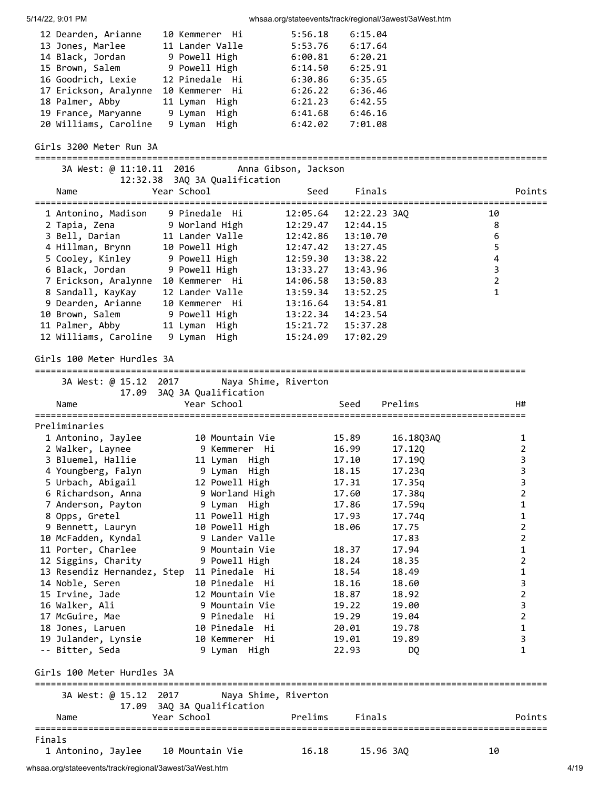| 5/14/22, 9:01 PM                                         |                                               |                      |                      | whsaa.org/stateevents/track/regional/3awest/3aWest.htm |                         |                |
|----------------------------------------------------------|-----------------------------------------------|----------------------|----------------------|--------------------------------------------------------|-------------------------|----------------|
| 12 Dearden, Arianne                                      | 10 Kemmerer Hi                                | 5:56.18              | 6:15.04              |                                                        |                         |                |
| 13 Jones, Marlee                                         | 11 Lander Valle                               | 5:53.76              | 6:17.64              |                                                        |                         |                |
| 14 Black, Jordan                                         | 9 Powell High                                 | 6:00.81              | 6:20.21              |                                                        |                         |                |
| 15 Brown, Salem                                          | 9 Powell High                                 | 6:14.50              | 6:25.91              |                                                        |                         |                |
| 16 Goodrich, Lexie                                       | 12 Pinedale Hi                                | 6:30.86              | 6:35.65              |                                                        |                         |                |
| 17 Erickson, Aralynne 10 Kemmerer Hi                     |                                               |                      | $6:26.22$ $6:36.46$  |                                                        |                         |                |
| 18 Palmer, Abby                                          | 11 Lyman High                                 | 6:21.23              | 6:42.55              |                                                        |                         |                |
| 19 France, Maryanne 9 Lyman High                         |                                               | 6:41.68              | 6:46.16              |                                                        |                         |                |
| 20 Williams, Caroline                                    | 9 Lyman High                                  | 6:42.02              | 7:01.08              |                                                        |                         |                |
| Girls 3200 Meter Run 3A                                  |                                               |                      |                      |                                                        |                         |                |
|                                                          | 3A West: @ 11:10.11 2016 Anna Gibson, Jackson |                      |                      |                                                        |                         |                |
| Name                                                     | 12:32.38 3AQ 3A Qualification<br>Year School  | Seed                 | Finals               |                                                        |                         | Points         |
|                                                          |                                               |                      |                      |                                                        |                         |                |
| 1 Antonino, Madison 9 Pinedale Hi                        |                                               | 12:05.64             | 12:22.23 3AQ         |                                                        | 10                      |                |
| 2 Tapia, Zena           9 Worland High                   |                                               | 12:29.47             | 12:44.15             |                                                        | 8                       |                |
| 3 Bell, Darian                                           | 11 Lander Valle                               | 12:42.86             | 13:10.70             |                                                        | 6                       |                |
| 4 Hillman, Brynn                                         | 10 Powell High                                | 12:47.42             | 13:27.45             |                                                        | 5                       |                |
| 5 Cooley, Kinley 9 Powell High                           |                                               |                      | 13:38.22             |                                                        | $\overline{\mathbf{4}}$ |                |
| 6 Black, Jordan 9 Powell High                            |                                               | 12:59.30             |                      |                                                        | $\mathsf{3}$            |                |
|                                                          |                                               | 13:33.27             | 13:43.96<br>13:50.83 |                                                        | $\overline{2}$          |                |
| 7 Erickson, Aralynne 10 Kemmerer Hi<br>8 Sandall, KayKay | 12 Lander Valle                               | 14:06.58<br>13:59.34 | 13:52.25             |                                                        | $\mathbf{1}$            |                |
| 9 Dearden, Arianne                                       | 10 Kemmerer Hi                                | 13:16.64             | 13:54.81             |                                                        |                         |                |
| 10 Brown, Salem                                          | 9 Powell High                                 | 13:22.34             | 14:23.54             |                                                        |                         |                |
| 11 Palmer, Abby                                          | 11 Lyman High                                 |                      |                      |                                                        |                         |                |
| 12 Williams, Caroline                                    | 9 Lyman High                                  | 15:21.72<br>15:24.09 | 15:37.28<br>17:02.29 |                                                        |                         |                |
|                                                          |                                               |                      |                      |                                                        |                         |                |
| Girls 100 Meter Hurdles 3A                               |                                               |                      |                      |                                                        |                         |                |
| 3A West: @ 15.12 2017                                    |                                               | Naya Shime, Riverton |                      |                                                        |                         |                |
|                                                          | 17.09 3AQ 3A Qualification                    |                      |                      |                                                        |                         |                |
| Name                                                     | Year School                                   |                      | Seed                 | Prelims                                                |                         | H#             |
|                                                          |                                               |                      |                      |                                                        |                         |                |
| Preliminaries                                            |                                               |                      |                      |                                                        |                         |                |
| 1 Antonino, Jaylee                                       | 10 Mountain Vie                               |                      | 15.89                | 16.18Q3AQ                                              |                         | 1              |
| 2 Walker, Laynee                                         | 9 Kemmerer  Hi                                |                      | 16.99                | 17.12Q                                                 |                         | $\overline{2}$ |
| 3 Bluemel, Hallie                                        | 11 Lyman High                                 |                      | 17.10                | 17.19Q                                                 |                         | 3              |
| 4 Youngberg, Falyn                                       | 9 Lyman High                                  |                      | 18.15                | 17.23q                                                 |                         | 3              |
| 5 Urbach, Abigail                                        | 12 Powell High                                |                      | 17.31                | 17.35q                                                 |                         | 3              |
| 6 Richardson, Anna                                       | 9 Worland High                                |                      | 17.60                | 17.38g                                                 |                         | 2              |
| 7 Anderson, Payton                                       | 9 Lyman High                                  |                      | 17.86                | 17.59q                                                 |                         | 1              |
| 8 Opps, Gretel                                           | 11 Powell High                                |                      | 17.93                | 17.74q                                                 |                         | $\mathbf{1}$   |
| 9 Bennett, Lauryn                                        | 10 Powell High                                |                      | 18.06                | 17.75                                                  |                         | $\overline{2}$ |
| 10 McFadden, Kyndal                                      | 9 Lander Valle                                |                      |                      | 17.83                                                  |                         | $\overline{2}$ |
| 11 Porter, Charlee                                       | 9 Mountain Vie                                |                      | 18.37                | 17.94                                                  |                         | $\mathbf{1}$   |
| 12 Siggins, Charity                                      | 9 Powell High                                 |                      | 18.24                | 18.35                                                  |                         | $\overline{2}$ |
| 13 Resendiz Hernandez, Step                              | 11 Pinedale Hi                                |                      | 18.54                | 18.49                                                  |                         | 1              |
| 14 Noble, Seren                                          | 10 Pinedale Hi                                |                      | 18.16                | 18.60                                                  |                         | 3              |
| 15 Irvine, Jade                                          | 12 Mountain Vie                               |                      | 18.87                | 18.92                                                  |                         | $\overline{2}$ |
| 16 Walker, Ali                                           | 9 Mountain Vie                                |                      | 19.22                | 19.00                                                  |                         | 3              |
| 17 McGuire, Mae                                          | 9 Pinedale Hi                                 |                      | 19.29                | 19.04                                                  |                         | $\overline{2}$ |
| 18 Jones, Laruen                                         | 10 Pinedale Hi                                |                      | 20.01                | 19.78                                                  |                         | $\mathbf{1}$   |
| 19 Julander, Lynsie                                      | 10 Kemmerer Hi                                |                      | 19.01                | 19.89                                                  |                         | 3              |
| -- Bitter, Seda                                          | 9 Lyman High                                  |                      | 22.93                | DQ                                                     |                         | 1              |
| Girls 100 Meter Hurdles 3A                               |                                               |                      |                      |                                                        |                         |                |
| 3A West: @ 15.12 2017                                    |                                               | Naya Shime, Riverton |                      |                                                        |                         |                |
|                                                          | 17.09 3AQ 3A Qualification                    |                      |                      |                                                        |                         |                |
| Name                                                     | Year School                                   | Prelims              | Finals               |                                                        |                         | Points         |
|                                                          |                                               |                      |                      |                                                        |                         |                |
| Finals<br>1 Antonino, Jaylee                             | 10 Mountain Vie                               | 16.18                | 15.96 3AQ            |                                                        | 10                      |                |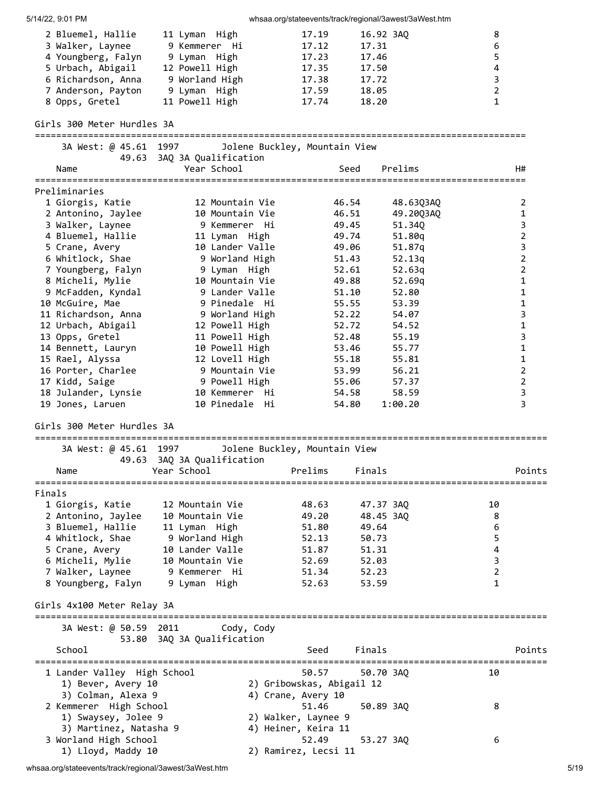| 5/14/22, 9:01 PM                             |                            | whsaa.org/stateevents/track/regional/3awest/3aWest.htm |           |                                      |                         |                         |
|----------------------------------------------|----------------------------|--------------------------------------------------------|-----------|--------------------------------------|-------------------------|-------------------------|
| 2 Bluemel, Hallie                            | 11 Lyman High              | 17.19                                                  | 16.92 3AQ |                                      | 8                       |                         |
| 3 Walker, Laynee                             | 9 Kemmerer Hi              | 17.12                                                  | 17.31     |                                      | 6                       |                         |
| 4 Youngberg, Falyn                           | 9 Lyman High               | 17.23                                                  | 17.46     |                                      | 5                       |                         |
| 5 Urbach, Abigail                            | 12 Powell High             | 17.35                                                  | 17.50     |                                      | 4                       |                         |
| 6 Richardson, Anna                           | 9 Worland High             | 17.38                                                  | 17.72     |                                      | 3                       |                         |
| 7 Anderson, Payton                           | 9 Lyman High               | 17.59                                                  | 18.05     |                                      | $\overline{2}$          |                         |
| 8 Opps, Gretel                               | 11 Powell High             | 17.74                                                  | 18.20     |                                      | $\mathbf{1}$            |                         |
| Girls 300 Meter Hurdles 3A                   |                            |                                                        |           |                                      |                         |                         |
| 3A West: @ 45.61 1997                        |                            |                                                        |           |                                      |                         |                         |
| 49.63                                        | 3AQ 3A Qualification       | Jolene Buckley, Mountain View                          |           |                                      |                         |                         |
| Name                                         | Year School                |                                                        | Seed      | Prelims                              |                         | H#                      |
|                                              |                            |                                                        |           |                                      |                         |                         |
| Preliminaries                                |                            |                                                        |           |                                      |                         |                         |
| 1 Giorgis, Katie                             | 12 Mountain Vie            |                                                        | 46.54     | 48.63Q3AQ                            |                         | 2                       |
| 2 Antonino, Jaylee                           | 10 Mountain Vie            |                                                        | 46.51     | 49.20Q3AQ                            |                         | $\mathbf{1}$            |
| 3 Walker, Laynee                             | 9 Kemmerer Hi              |                                                        | 49.45     | 51.34Q                               |                         | 3                       |
| 4 Bluemel, Hallie                            | 11 Lyman High              |                                                        | 49.74     | 51.80q                               |                         | 2                       |
| 5 Crane, Avery                               | 10 Lander Valle            |                                                        | 49.06     | 51.87q                               |                         | 3                       |
| 6 Whitlock, Shae                             | 9 Worland High             |                                                        | 51.43     | 52.13g                               |                         | $\mathbf 2$             |
| 7 Youngberg, Falyn                           | 9 Lyman High               |                                                        | 52.61     | 52.63q                               |                         | $\overline{2}$          |
| 8 Micheli, Mylie                             | 10 Mountain Vie            |                                                        | 49.88     | 52.69q                               |                         | $\mathbf{1}$            |
| 9 McFadden, Kyndal                           | 9 Lander Valle             |                                                        | 51.10     | 52.80                                |                         | 1                       |
| 10 McGuire, Mae                              | 9 Pinedale Hi              |                                                        | 55.55     | 53.39                                |                         | $\mathbf 1$             |
| 11 Richardson, Anna                          | 9 Worland High             |                                                        | 52.22     | 54.07                                |                         | 3                       |
| 12 Urbach, Abigail                           | 12 Powell High             |                                                        | 52.72     | 54.52                                |                         | 1                       |
| 13 Opps, Gretel                              | 11 Powell High             |                                                        | 52.48     | 55.19                                |                         | 3                       |
| 14 Bennett, Lauryn                           | 10 Powell High             |                                                        | 53.46     | 55.77                                |                         | 1                       |
| 15 Rael, Alyssa                              | 12 Lovell High             |                                                        | 55.18     | 55.81                                |                         | 1                       |
| 16 Porter, Charlee                           | 9 Mountain Vie             |                                                        | 53.99     | 56.21                                |                         | $\overline{2}$          |
| 17 Kidd, Saige                               | 9 Powell High              |                                                        | 55.06     | 57.37                                |                         | $\overline{2}$          |
| 18 Julander, Lynsie                          | 10 Kemmerer Hi             |                                                        | 54.58     | 58.59                                |                         | $\overline{\mathbf{3}}$ |
| 19 Jones, Laruen                             | 10 Pinedale Hi             |                                                        | 54.80     | 1:00.20                              |                         | 3                       |
| Girls 300 Meter Hurdles 3A                   |                            |                                                        |           |                                      |                         |                         |
|                                              |                            |                                                        |           |                                      |                         |                         |
| 3A West: @ 45.61 1997                        |                            | Jolene Buckley, Mountain View                          |           |                                      |                         |                         |
| 49.63                                        | 3AQ 3A Qualification       |                                                        |           |                                      |                         |                         |
| Name                                         | Year School                | Prelims                                                | Finals    |                                      |                         | Points                  |
| Finals                                       |                            |                                                        |           |                                      |                         |                         |
| 1 Giorgis, Katie                             | 12 Mountain Vie            | 48.63                                                  | 47.37 3AQ |                                      | 10                      |                         |
| 2 Antonino, Jaylee                           | 10 Mountain Vie            | 49.20                                                  | 48.45 3AQ |                                      | 8                       |                         |
| 3 Bluemel, Hallie                            | 11 Lyman High              | 51.80                                                  | 49.64     |                                      | 6                       |                         |
| 4 Whitlock, Shae                             | 9 Worland High             | 52.13                                                  | 50.73     |                                      | 5                       |                         |
| 5 Crane, Avery                               | 10 Lander Valle            | 51.87                                                  | 51.31     |                                      | $\overline{\mathbf{4}}$ |                         |
| 6 Micheli, Mylie                             | 10 Mountain Vie            | 52.69                                                  | 52.03     |                                      | $\overline{3}$          |                         |
| 7 Walker, Laynee                             | 9 Kemmerer Hi              | 51.34                                                  | 52.23     |                                      | $\overline{2}$          |                         |
| 8 Youngberg, Falyn                           | 9 Lyman High               | 52.63                                                  | 53.59     |                                      | $\mathbf{1}$            |                         |
| Girls 4x100 Meter Relay 3A                   |                            |                                                        |           |                                      |                         |                         |
|                                              |                            |                                                        |           |                                      |                         |                         |
| 3A West: @ 50.59 2011                        |                            | Cody, Cody                                             |           |                                      |                         |                         |
|                                              | 53.80 3AQ 3A Qualification |                                                        |           |                                      |                         |                         |
| School                                       |                            | Seed                                                   | Finals    |                                      |                         | Points                  |
|                                              |                            |                                                        |           | ==================================== |                         |                         |
| 1 Lander Valley High School                  |                            | 50.57                                                  | 50.70 3AQ |                                      | 10                      |                         |
| 1) Bever, Avery 10                           |                            | 2) Gribowskas, Abigail 12                              |           |                                      |                         |                         |
| 3) Colman, Alexa 9<br>2 Kemmerer High School |                            | 4) Crane, Avery 10<br>51.46                            | 50.89 3AQ |                                      | 8                       |                         |
| 1) Swaysey, Jolee 9                          |                            | 2) Walker, Laynee 9                                    |           |                                      |                         |                         |
| 3) Martinez, Natasha 9                       |                            | 4) Heiner, Keira 11                                    |           |                                      |                         |                         |
| 3 Worland High School                        |                            | 52.49                                                  | 53.27 3AQ |                                      | 6                       |                         |
| 1) Lloyd, Maddy 10                           |                            | 2) Ramirez, Lecsi 11                                   |           |                                      |                         |                         |
|                                              |                            |                                                        |           |                                      |                         |                         |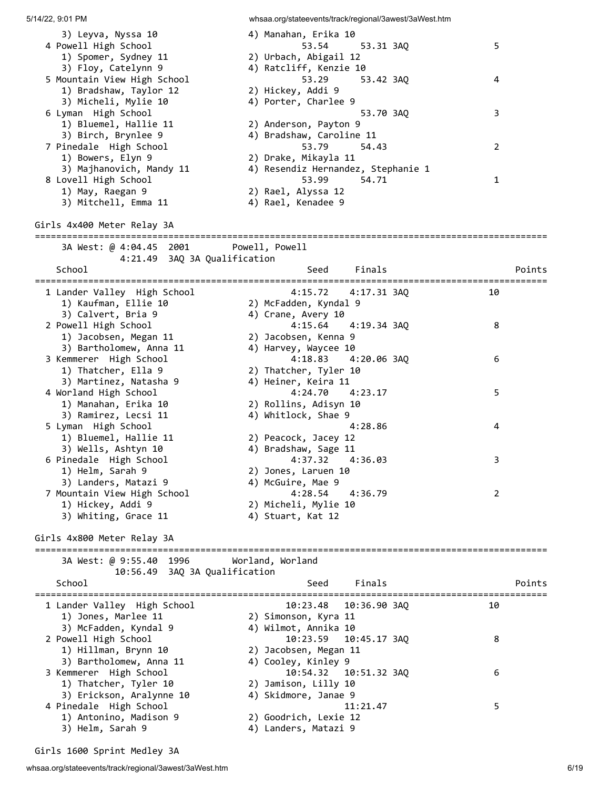5/14/22, 9:01 PM whsaa.org/stateevents/track/regional/3awest/3aWest.htm 3) Leyva, Nyssa 10 4) Manahan, Erika 10<br>Aliah School (52 54 52) 4 Powell High School 53.54 53.31 3AQ 5 1) Spomer, Sydney 11 2) Urbach, Abigail 12 3) Floy, Catelynn 9 4) Ratcliff, Kenzie 10 5 Mountain View High School 53.29 53.42 3AQ 4 1) Bradshaw, Taylor 12 2) Hickey, Addi 9 3) Micheli, Mylie 10 4) Porter, Charlee 9 6 Lyman High School 53.70 3AQ 3 1) Bluemel, Hallie 11 2) Anderson, Payton 9 3) Birch, Brynlee 9 4) Bradshaw, Caroline 11 7 Pinedale High School 53.79 54.43 2 1) Bowers, Elyn 9 2) Drake, Mikayla 11 3) Majhanovich, Mandy 11 4) Resendiz Hernandez, Stephanie 1 8 Lovell High School 53.99 54.71 1 1) May, Raegan 9 2) Rael, Alyssa 12 3) Mitchell, Emma 11 4) Rael, Kenadee 9 Girls 4x400 Meter Relay 3A ================================================================================================ 3A West: @ 4:04.45 2001 Powell, Powell 4:21.49 3AQ 3A Qualification School School Seed Finals Points ================================================================================================ 1 Lander Valley High School 4:15.72 4:17.31 3AQ 10 1) Kaufman, Ellie 10 2) McFadden, Kyndal 9 3) Calvert, Bria 9 12 (2014) Anne, Avery 10 2 Powell High School 4:15.64 4:19.34 3AQ 8 1) Jacobsen, Megan 11 2) Jacobsen, Kenna 9 3) Bartholomew, Anna 11 4) Harvey, Waycee 10 3 Kemmerer High School 4:18.83 4:20.06 3AQ 6 1) Thatcher, Ella 9 2) Thatcher, Tyler 10 3) Martinez, Natasha 9 4) Heiner, Keira 11 4 Worland High School 4:24.70 4:23.17 5 1) Manahan, Erika 10 2) Rollins, Adisyn 10 3) Ramirez, Lecsi 11 4) Whitlock, Shae 9 5 Lyman High School 4:28.86 4 1) Bluemel, Hallie 11 2) Peacock, Jacey 12 3) Wells, Ashtyn 10 4) Bradshaw, Sage 11 6 Pinedale High School 4:37.32 4:36.03 3 1) Helm, Sarah 9 2) Jones, Laruen 10 3) Landers, Matazi 9 4) McGuire, Mae 9 7 Mountain View High School 4:28.54 4:36.79 2 1) Hickey, Addi 9 2) Micheli, Mylie 10 3) Whiting, Grace 11  $\hskip1cm$  4) Stuart, Kat 12 Girls 4x800 Meter Relay 3A ================================================================================================ 3A West: @ 9:55.40 1996 Worland, Worland 10:56.49 3AQ 3A Qualification School Seed Finals Points Points ================================================================================================ 1 Lander Valley High School 10:23.48 10:36.90 3AQ 10 1) Jones, Marlee 11 2) Simonson, Kyra 11 3) McFadden, Kyndal 9 4) Wilmot, Annika 10 2 Powell High School 10:23.59 10:45.17 3AQ 8 1) Hillman, Brynn 10 2) Jacobsen, Megan 11 3) Bartholomew, Anna 11 4) Cooley, Kinley 9 3 Kemmerer High School 10:54.32 10:51.32 3AQ 6 1) Thatcher, Tyler 10 2) Jamison, Lilly 10 3) Erickson, Aralynne 10 4) Skidmore, Janae 9 4 Pinedale High School 11:21.47 5 1) Antonino, Madison 9 2) Goodrich, Lexie 12 3) Helm, Sarah 9 4) Landers, Matazi 9

Girls 1600 Sprint Medley 3A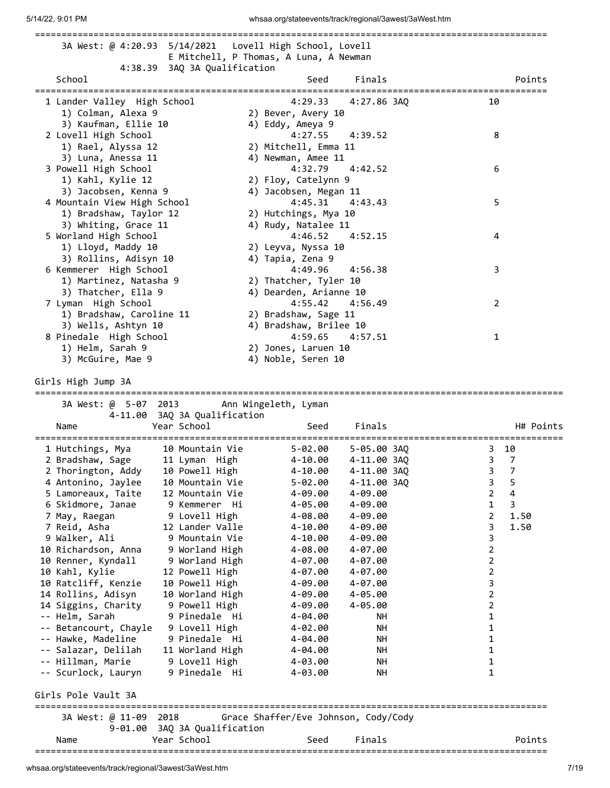|                                               |                                    | 3A West: @ 4:20.93  5/14/2021  Lovell High School, Lovell |                                                      |                              |
|-----------------------------------------------|------------------------------------|-----------------------------------------------------------|------------------------------------------------------|------------------------------|
|                                               |                                    | E Mitchell, P Thomas, A Luna, A Newman                    |                                                      |                              |
|                                               | 4:38.39 3AQ 3A Qualification       |                                                           |                                                      |                              |
| School<br>===========                         |                                    | Seed                                                      | Finals                                               | Points                       |
| 1 Lander Valley High School                   |                                    | 4:29.33                                                   | ===============================<br>4:27.86 3AQ<br>10 |                              |
| 1) Colman, Alexa 9                            |                                    | 2) Bever, Avery 10                                        |                                                      |                              |
| 3) Kaufman, Ellie 10                          |                                    | 4) Eddy, Ameya 9                                          |                                                      |                              |
| 2 Lovell High School                          |                                    | 4:27.55<br>4:39.52                                        | 8                                                    |                              |
| 1) Rael, Alyssa 12                            |                                    | 2) Mitchell, Emma 11                                      |                                                      |                              |
| 3) Luna, Anessa 11                            |                                    | 4) Newman, Amee 11                                        |                                                      |                              |
| 3 Powell High School                          |                                    | 4:42.52<br>4:32.79                                        | 6                                                    |                              |
| 1) Kahl, Kylie 12                             |                                    | 2) Floy, Catelynn 9                                       |                                                      |                              |
| 3) Jacobsen, Kenna 9                          |                                    | 4) Jacobsen, Megan 11                                     |                                                      |                              |
| 4 Mountain View High School                   |                                    | 4:45.31<br>4:43.43                                        | 5                                                    |                              |
| 1) Bradshaw, Taylor 12                        |                                    | 2) Hutchings, Mya 10                                      |                                                      |                              |
| 3) Whiting, Grace 11                          |                                    | 4) Rudy, Natalee 11                                       |                                                      |                              |
| 5 Worland High School                         |                                    | 4:46.52<br>4:52.15                                        | 4                                                    |                              |
| 1) Lloyd, Maddy 10                            |                                    | 2) Leyva, Nyssa 10                                        |                                                      |                              |
| 3) Rollins, Adisyn 10                         |                                    | 4) Tapia, Zena 9<br>4:49.96                               |                                                      |                              |
| 6 Kemmerer High School                        |                                    | 4:56.38                                                   | 3                                                    |                              |
| 1) Martinez, Natasha 9<br>3) Thatcher, Ella 9 |                                    | 2) Thatcher, Tyler 10<br>4) Dearden, Arianne 10           |                                                      |                              |
| 7 Lyman High School                           |                                    | 4:55.42<br>4:56.49                                        | $\overline{2}$                                       |                              |
| 1) Bradshaw, Caroline 11                      |                                    | 2) Bradshaw, Sage 11                                      |                                                      |                              |
| 3) Wells, Ashtyn 10                           |                                    | 4) Bradshaw, Brilee 10                                    |                                                      |                              |
| 8 Pinedale High School                        |                                    | 4:59.65 4:57.51                                           | 1                                                    |                              |
| 1) Helm, Sarah 9                              |                                    | 2) Jones, Laruen 10                                       |                                                      |                              |
| 3) McGuire, Mae 9                             |                                    | 4) Noble, Seren 10                                        |                                                      |                              |
|                                               |                                    |                                                           |                                                      |                              |
| Girls High Jump 3A                            |                                    |                                                           |                                                      |                              |
|                                               |                                    |                                                           |                                                      |                              |
|                                               |                                    |                                                           |                                                      |                              |
| 3A West: @ 5-07 2013 Ann Wingeleth, Lyman     |                                    |                                                           |                                                      |                              |
|                                               | 4-11.00 3AQ 3A Qualification       |                                                           |                                                      |                              |
| Name                                          | Year School                        | Seed                                                      | Finals                                               | H# Points                    |
|                                               |                                    |                                                           |                                                      |                              |
| 1 Hutchings, Mya                              | 10 Mountain Vie                    | 5-02.00                                                   | 5-05.00 3AQ                                          | 3 10                         |
| 2 Bradshaw, Sage 11 Lyman High 1-10.00        |                                    |                                                           | $\overline{\mathbf{3}}$<br>4-11.00 3AQ               | 7                            |
| 2 Thorington, Addy                            | 10 Powell High                     | 4-10.00                                                   | 4-11.00 3AQ<br>3                                     | 7                            |
| 4 Antonino, Jaylee                            | 10 Mountain Vie<br>12 Mountain Vie | $5 - 02.00$                                               | 3<br>4-11.00 3AQ<br>$\overline{2}$                   | 5<br>$\overline{\mathbf{4}}$ |
| 5 Lamoreaux, Taite<br>6 Skidmore, Janae       | 9 Kemmerer Hi                      | 4-09.00<br>4-09.00<br>4-09.00<br>$4 - 05.00$              | 1                                                    | 3                            |
|                                               |                                    | 4-09.00<br>4-08.00                                        | $\overline{2}$                                       | 1.50                         |
| 7 May, Raegan<br>7 Reid, Asha                 | 9 Lovell High<br>12 Lander Valle   | $4 - 10.00$<br>4-09.00                                    | 3                                                    | 1.50                         |
| 9 Walker, Ali                                 | 9 Mountain Vie                     | $4 - 10.00$<br>$4 - 09.00$                                | 3                                                    |                              |
| 10 Richardson, Anna                           | 9 Worland High                     | $4 - 08.00$<br>$4 - 07.00$                                | 2                                                    |                              |
| 10 Renner, Kyndall                            | 9 Worland High                     | $4 - 07.00$<br>4-07.00                                    | 2                                                    |                              |
| 10 Kahl, Kylie                                | 12 Powell High                     | 4-07.00<br>4-07.00                                        | $\overline{2}$                                       |                              |
| 10 Ratcliff, Kenzie                           | 10 Powell High                     | 4-09.00<br>4-07.00                                        | 3                                                    |                              |
| 14 Rollins, Adisyn                            | 10 Worland High                    | $4 - 05.00$<br>4-09.00                                    | $\overline{2}$                                       |                              |
| 14 Siggins, Charity                           | 9 Powell High                      | $4 - 05.00$<br>4-09.00                                    | 2                                                    |                              |
| -- Helm, Sarah                                | 9 Pinedale Hi                      | $4 - 04.00$                                               | 1<br>NН                                              |                              |
| -- Betancourt, Chayle                         | 9 Lovell High                      | 4-02.00                                                   | NН<br>1                                              |                              |
| -- Hawke, Madeline                            | 9 Pinedale Hi                      | 4-04.00                                                   | 1<br>NН                                              |                              |
| -- Salazar, Delilah                           | 11 Worland High                    | 4-04.00                                                   | 1<br>NН                                              |                              |
| -- Hillman, Marie                             | 9 Lovell High                      | 4-03.00                                                   | 1<br>NН                                              |                              |
| -- Scurlock, Lauryn                           | 9 Pinedale Hi                      | 4-03.00                                                   | $\mathbf 1$<br><b>NH</b>                             |                              |
| Girls Pole Vault 3A                           |                                    |                                                           |                                                      |                              |
| 3A West: @ 11-09                              | 2018                               | Grace Shaffer/Eve Johnson, Cody/Cody                      |                                                      |                              |
| 9-01.00                                       | 3AQ 3A Qualification               |                                                           |                                                      |                              |
| Name                                          | Year School                        | Seed                                                      | Finals                                               | Points                       |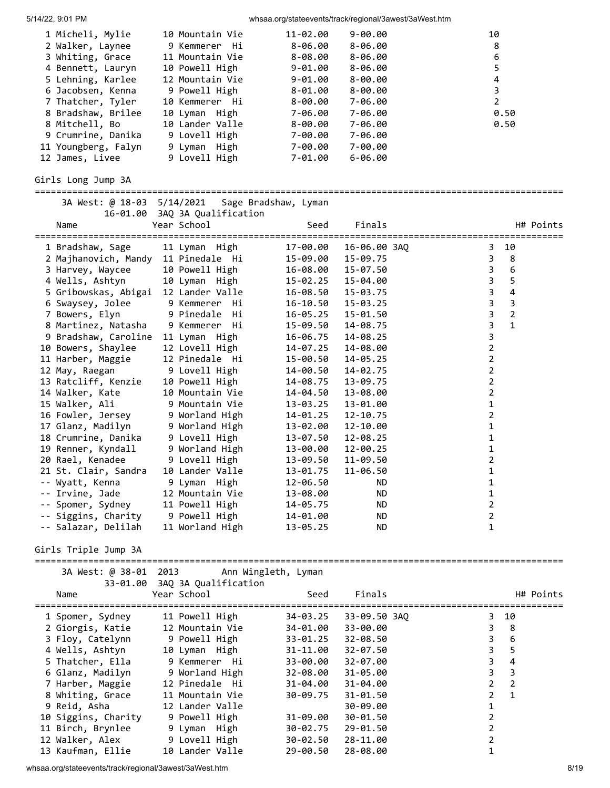| 5/14/22, 9:01 PM                     |                               | whsaa.org/stateevents/track/regional/3awest/3aWest.htm |              |                |                         |
|--------------------------------------|-------------------------------|--------------------------------------------------------|--------------|----------------|-------------------------|
| 1 Micheli, Mylie                     | 10 Mountain Vie               | 11-02.00                                               | $9 - 00.00$  | 10             |                         |
| 2 Walker, Laynee                     | 9 Kemmerer Hi                 | $8 - 06.00$                                            | $8 - 06.00$  |                | 8                       |
| 3 Whiting, Grace                     | 11 Mountain Vie               | 8-08.00                                                | $8 - 06.00$  |                | 6                       |
| 4 Bennett, Lauryn                    | 10 Powell High                | $9 - 01.00$                                            | $8 - 06.00$  |                | 5                       |
| 5 Lehning, Karlee                    | 12 Mountain Vie               | $9 - 01.00$                                            | $8 - 00.00$  |                | $\overline{\mathbf{4}}$ |
| 6 Jacobsen, Kenna                    | 9 Powell High                 | $8 - 01.00$                                            | $8 - 00.00$  |                | $\overline{3}$          |
| 7 Thatcher, Tyler                    | 10 Kemmerer Hi                | $8 - 00.00$                                            | 7-06.00      |                | $\overline{2}$          |
| 8 Bradshaw, Brilee                   | 10 Lyman High                 | 7-06.00                                                | 7-06.00      |                | 0.50                    |
| 8 Mitchell, Bo                       | 10 Lander Valle               | $8 - 00.00$                                            | 7-06.00      |                | 0.50                    |
| 9 Crumrine, Danika                   | 9 Lovell High                 | 7-00.00                                                | 7-06.00      |                |                         |
| 11 Youngberg, Falyn                  | 9 Lyman High                  | 7-00.00                                                | 7-00.00      |                |                         |
| 12 James, Livee                      | 9 Lovell High                 | 7-01.00                                                | $6 - 06.00$  |                |                         |
| Girls Long Jump 3A                   |                               |                                                        |              |                |                         |
| 3A West: @ 18-03 5/14/2021           |                               | Sage Bradshaw, Lyman                                   |              |                |                         |
|                                      | 16-01.00 3AQ 3A Qualification |                                                        |              |                |                         |
| Name                                 | Year School                   | Seed                                                   | Finals       |                | H# Points               |
|                                      |                               |                                                        |              |                |                         |
| 1 Bradshaw, Sage                     | 11 Lyman High                 | 17-00.00                                               | 16-06.00 3AQ | 3.             | 10                      |
| 2 Majhanovich, Mandy 11 Pinedale Hi  |                               | 15-09.00                                               | 15-09.75     | 3              | 8                       |
| 3 Harvey, Waycee                     | 10 Powell High                | 16-08.00                                               | 15-07.50     | 3              | $\boldsymbol{6}$        |
| 4 Wells, Ashtyn                      | 10 Lyman High                 | 15-02.25                                               | 15-04.00     | 3              | 5                       |
| 5 Gribowskas, Abigai 12 Lander Valle |                               | 16-08.50                                               | 15-03.75     | $\overline{3}$ | $\overline{\mathbf{4}}$ |
| 6 Swaysey, Jolee                     | 9 Kemmerer Hi                 | $16 - 10.50$                                           | 15-03.25     | $\mathbf{3}$   | $\overline{3}$          |
| 7 Bowers, Elyn                       | 9 Pinedale Hi                 | 16-05.25                                               | 15-01.50     | 3              | $\overline{2}$          |
| 8 Martinez, Natasha                  | 9 Kemmerer Hi                 | 15-09.50                                               | 14-08.75     | 3              | $\mathbf{1}$            |
| 9 Bradshaw, Caroline                 | 11 Lyman High                 | 16-06.75                                               | 14-08.25     | 3              |                         |
| 10 Bowers, Shaylee                   | 12 Lovell High                | 14-07.25                                               | 14-08.00     | 2              |                         |
| 11 Harber, Maggie                    | 12 Pinedale Hi                | 15-00.50                                               | 14-05.25     | 2              |                         |
| 12 May, Raegan                       | 9 Lovell High                 |                                                        | 14-02.75     | $\overline{2}$ |                         |
| 13 Ratcliff, Kenzie                  | 10 Powell High                | 14-00.50<br>14-08.75                                   | 13-09.75     | $\overline{2}$ |                         |
|                                      |                               |                                                        |              | 2              |                         |
| 14 Walker, Kate                      | 10 Mountain Vie               | 14-04.50                                               | 13-08.00     |                |                         |
| 15 Walker, Ali                       | 9 Mountain Vie                | 13-03.25                                               | 13-01.00     | 1              |                         |
| 16 Fowler, Jersey                    | 9 Worland High                | 14-01.25                                               | 12-10.75     | 2              |                         |
| 17 Glanz, Madilyn                    | 9 Worland High                | 13-02.00                                               | 12-10.00     | 1              |                         |
| 18 Crumrine, Danika                  | 9 Lovell High                 | 13-07.50                                               | 12-08.25     | 1              |                         |
| 19 Renner, Kyndall                   | 9 Worland High                | 13-00.00                                               | 12-00.25     | 1              |                         |
| 20 Rael, Kenadee                     | 9 Lovell High                 | 13-09.50                                               | 11-09.50     | $\overline{2}$ |                         |
| 21 St. Clair, Sandra                 | 10 Lander Valle               | 13-01.75                                               | 11-06.50     | 1              |                         |
| -- Wyatt, Kenna                      | 9 Lyman High                  | 12-06.50                                               | ND.          | 1              |                         |
| -- Irvine, Jade                      | 12 Mountain Vie               | 13-08.00                                               | <b>ND</b>    | 1              |                         |
| -- Spomer, Sydney                    | 11 Powell High                | 14-05.75                                               | ND.          | 2              |                         |
| -- Siggins, Charity                  | 9 Powell High                 | 14-01.00                                               | <b>ND</b>    | 2              |                         |
| -- Salazar, Delilah                  | 11 Worland High               | 13-05.25                                               | <b>ND</b>    | 1              |                         |
| Girls Triple Jump 3A                 |                               |                                                        |              |                |                         |
| 3A West: @ 38-01 2013                |                               | Ann Wingleth, Lyman                                    |              |                |                         |
|                                      | 33-01.00 3AQ 3A Qualification |                                                        |              |                |                         |
| Name                                 | Year School                   | Seed                                                   | Finals       |                | H# Points               |
| 1 Spomer, Sydney                     | 11 Powell High                | 34-03.25                                               | 33-09.50 3AQ | 3.             | 10                      |
| 2 Giorgis, Katie                     | 12 Mountain Vie               | 34-01.00                                               | 33-00.00     | 3              | 8                       |
| 3 Floy, Catelynn                     | 9 Powell High                 | 33-01.25                                               | $32 - 08.50$ | 3              | $\boldsymbol{6}$        |
| 4 Wells, Ashtyn                      | 10 Lyman High                 | 31-11.00                                               | $32 - 07.50$ | 3              | 5                       |
| 5 Thatcher, Ella                     | 9 Kemmerer Hi                 | 33-00.00                                               | 32-07.00     | 3              | $\overline{4}$          |
| 6 Glanz, Madilyn                     | 9 Worland High                | 32-08.00                                               | 31-05.00     | 3              | $\overline{3}$          |
| 7 Harber, Maggie                     | 12 Pinedale Hi                | 31-04.00                                               | 31-04.00     | $\overline{2}$ | 2                       |
| 8 Whiting, Grace                     | 11 Mountain Vie               | 30-09.75                                               | 31-01.50     | 2              | $\mathbf{1}$            |
| 9 Reid, Asha                         | 12 Lander Valle               |                                                        | 30-09.00     | 1              |                         |
| 10 Siggins, Charity                  | 9 Powell High                 | 31-09.00                                               | 30-01.50     | 2              |                         |
| 11 Birch, Brynlee                    | 9 Lyman High                  | 30-02.75                                               | 29-01.50     | $\overline{2}$ |                         |
| 12 Walker, Alex                      | 9 Lovell High                 | 30-02.50                                               | 28-11.00     | $\overline{2}$ |                         |
| 13 Kaufman, Ellie                    | 10 Lander Valle               | 29-00.50                                               | 28-08.00     | 1              |                         |

whsaa.org/stateevents/track/regional/3awest/3aWest.htm 8/19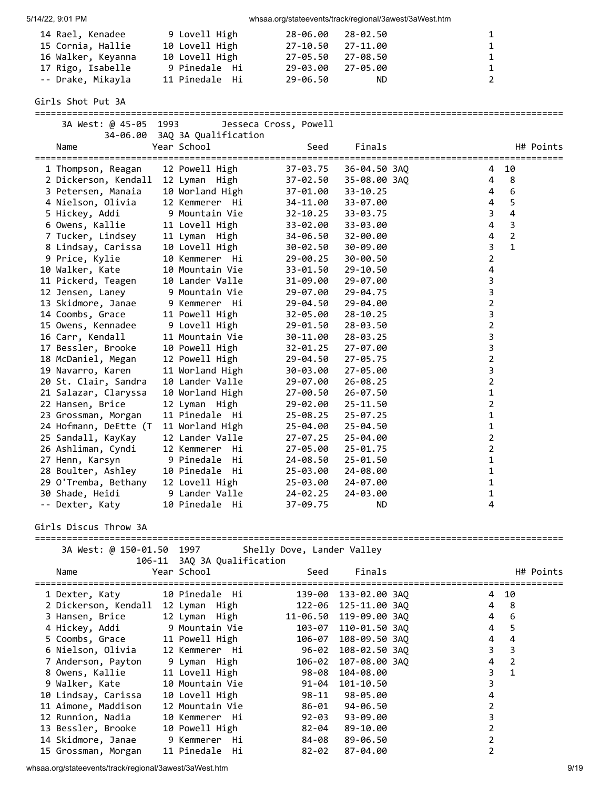| 14 Rael, Kenadee<br>15 Cornia, Hallie<br>16 Walker, Keyanna<br>17 Rigo, Isabelle | 9 Lovell High<br>10 Lovell High<br>10 Lovell High<br>9 Pinedale Hi | 28-06.00<br>$27 - 10.50$<br>27-05.50<br>29-03.00 | 28-02.50<br>27-11.00<br>27-08.50<br>27-05.00 | 1<br>$\mathbf 1$<br>1<br>1  |                              |
|----------------------------------------------------------------------------------|--------------------------------------------------------------------|--------------------------------------------------|----------------------------------------------|-----------------------------|------------------------------|
| -- Drake, Mikayla                                                                | 11 Pinedale Hi                                                     | 29-06.50                                         | ND.                                          | $\overline{2}$              |                              |
| Girls Shot Put 3A                                                                |                                                                    |                                                  |                                              |                             |                              |
| 3A West: @ 45-05 1993                                                            |                                                                    | Jesseca Cross, Powell                            |                                              |                             |                              |
| Name                                                                             | 34-06.00 3AQ 3A Qualification<br>Year School                       | Seed                                             | Finals                                       |                             | H# Points                    |
| 1 Thompson, Reagan                                                               | 12 Powell High                                                     | 37-03.75                                         | 36-04.50 3AQ                                 | 4                           | 10                           |
| 2 Dickerson, Kendall                                                             | 12 Lyman High                                                      | 37-02.50                                         | 35-08.00 3AQ                                 | 4                           | 8                            |
| 3 Petersen, Manaia                                                               | 10 Worland High                                                    | 37-01.00                                         | $33 - 10.25$                                 | 4                           | $6\phantom{1}6$              |
| 4 Nielson, Olivia                                                                | 12 Kemmerer Hi                                                     | 34-11.00                                         | 33-07.00                                     | $\overline{4}$              | 5<br>$\overline{\mathbf{4}}$ |
| 5 Hickey, Addi<br>6 Owens, Kallie                                                | 9 Mountain Vie<br>11 Lovell High                                   | $32 - 10.25$<br>33-02.00                         | 33-03.75<br>33-03.00                         | 3<br>$\overline{4}$         | $\overline{3}$               |
| 7 Tucker, Lindsey                                                                | 11 Lyman High                                                      | 34-06.50                                         | 32-00.00                                     | 4                           | $\overline{2}$               |
| 8 Lindsay, Carissa                                                               | 10 Lovell High                                                     | 30-02.50                                         | 30-09.00                                     | 3                           | $\mathbf{1}$                 |
| 9 Price, Kylie                                                                   | 10 Kemmerer Hi                                                     | 29-00.25                                         | 30-00.50                                     | $\overline{2}$              |                              |
| 10 Walker, Kate                                                                  | 10 Mountain Vie                                                    | 33-01.50                                         | 29-10.50                                     | 4                           |                              |
| 11 Pickerd, Teagen                                                               | 10 Lander Valle                                                    | 31-09.00                                         | 29-07.00                                     | 3                           |                              |
| 12 Jensen, Laney                                                                 | 9 Mountain Vie                                                     | 29-07.00                                         | 29-04.75                                     | $\mathbf{3}$                |                              |
| 13 Skidmore, Janae                                                               | 9 Kemmerer Hi                                                      | 29-04.50                                         | 29-04.00                                     | $\overline{2}$              |                              |
| 14 Coombs, Grace                                                                 | 11 Powell High                                                     | 32-05.00                                         | $28 - 10.25$                                 | 3                           |                              |
| 15 Owens, Kennadee<br>16 Carr, Kendall                                           | 9 Lovell High<br>11 Mountain Vie                                   | 29-01.50<br>30-11.00                             | 28-03.50<br>28-03.25                         | $\overline{2}$<br>3         |                              |
| 17 Bessler, Brooke                                                               | 10 Powell High                                                     | $32 - 01.25$                                     | 27-07.00                                     | 3                           |                              |
| 18 McDaniel, Megan                                                               | 12 Powell High                                                     | 29-04.50                                         | 27-05.75                                     | $\overline{2}$              |                              |
| 19 Navarro, Karen                                                                | 11 Worland High                                                    | 30-03.00                                         | 27-05.00                                     | 3                           |                              |
| 20 St. Clair, Sandra                                                             | 10 Lander Valle                                                    | 29-07.00                                         | $26 - 08.25$                                 | $\overline{2}$              |                              |
| 21 Salazar, Claryssa                                                             | 10 Worland High                                                    | 27-00.50                                         | $26 - 07.50$                                 | $\mathbf 1$                 |                              |
| 22 Hansen, Brice                                                                 | 12 Lyman High                                                      | 29-02.00                                         | $25 - 11.50$                                 | $\overline{2}$              |                              |
| 23 Grossman, Morgan                                                              | 11 Pinedale Hi                                                     | $25 - 08.25$                                     | $25 - 07.25$                                 | 1                           |                              |
| 24 Hofmann, DeEtte (T                                                            | 11 Worland High                                                    | 25-04.00                                         | $25 - 04.50$                                 | 1                           |                              |
| 25 Sandall, KayKay                                                               | 12 Lander Valle                                                    | $27 - 07.25$                                     | 25-04.00                                     | $\overline{2}$              |                              |
| 26 Ashliman, Cyndi                                                               | 12 Kemmerer Hi                                                     | 27-05.00                                         | $25 - 01.75$                                 | $\overline{2}$              |                              |
| 27 Henn, Karsyn                                                                  | 9 Pinedale<br>Hi<br>Hi                                             | 24-08.50                                         | 25-01.50<br>24-08.00                         | $\mathbf 1$<br>$\mathbf{1}$ |                              |
| 28 Boulter, Ashley<br>29 O'Tremba, Bethany                                       | 10 Pinedale<br>12 Lovell High                                      | 25-03.00<br>25-03.00                             | 24-07.00                                     | 1                           |                              |
| 30 Shade, Heidi                                                                  | 9 Lander Valle                                                     | 24-02.25                                         | 24-03.00                                     | 1                           |                              |
| -- Dexter, Katy                                                                  | 10 Pinedale Hi                                                     | $37 - 09.75$                                     | ND.                                          | 4                           |                              |
| Girls Discus Throw 3A                                                            |                                                                    |                                                  |                                              |                             |                              |
| 3A West: @ 150-01.50 1997                                                        |                                                                    | Shelly Dove, Lander Valley                       |                                              |                             |                              |
| 106-11                                                                           | 3AQ 3A Qualification                                               |                                                  |                                              |                             |                              |
| Name                                                                             | Year School                                                        | Seed                                             | Finals                                       |                             | H# Points                    |
| 1 Dexter, Katy                                                                   | 10 Pinedale Hi                                                     |                                                  | 139-00 133-02.00 3AQ                         | 4                           | 10                           |
| 2 Dickerson, Kendall 12 Lyman High                                               |                                                                    |                                                  | 122-06 125-11.00 3AQ                         | 4                           | 8                            |
| 3 Hansen, Brice                                                                  | 12 Lyman High                                                      |                                                  | 11-06.50 119-09.00 3AQ                       | 4                           | 6                            |
| 4 Hickey, Addi                                                                   | 9 Mountain Vie                                                     | 103-07                                           | 110-01.50 3AQ                                | 4                           | 5<br>$\overline{4}$          |
| 5 Coombs, Grace<br>6 Nielson, Olivia                                             | 11 Powell High<br>12 Kemmerer Hi                                   |                                                  | 106-07 108-09.50 3AQ<br>96-02 108-02.50 3AQ  | 4<br>3                      | $\overline{3}$               |
| 7 Anderson, Payton                                                               | 9 Lyman High                                                       |                                                  | 106-02 107-08.00 3AQ                         | 4                           | $\overline{2}$               |
| 8 Owens, Kallie                                                                  | 11 Lovell High                                                     | 98-08                                            | 104-08.00                                    | 3                           | $\mathbf{1}$                 |
| 9 Walker, Kate                                                                   | 10 Mountain Vie                                                    | 91-04                                            | 101-10.50                                    | 3                           |                              |
| 10 Lindsay, Carissa                                                              | 10 Lovell High                                                     | $98 - 11$                                        | 98-05.00                                     | 4                           |                              |
| 11 Aimone, Maddison                                                              | 12 Mountain Vie                                                    | 86-01                                            | 94-06.50                                     | 2                           |                              |
| 12 Runnion, Nadia                                                                | 10 Kemmerer Hi                                                     | 92-03                                            | 93-09.00                                     | 3                           |                              |
| 13 Bessler, Brooke                                                               | 10 Powell High                                                     | 82-04                                            | 89-10.00                                     | $\overline{2}$              |                              |
| 14 Skidmore, Janae                                                               | 9 Kemmerer Hi                                                      | 84-08                                            | 89-06.50                                     | 2                           |                              |
| 15 Grossman, Morgan                                                              | 11 Pinedale Hi                                                     | $82 - 02$                                        | 87-04.00                                     | $\overline{2}$              |                              |

whsaa.org/stateevents/track/regional/3awest/3aWest.htm 9/19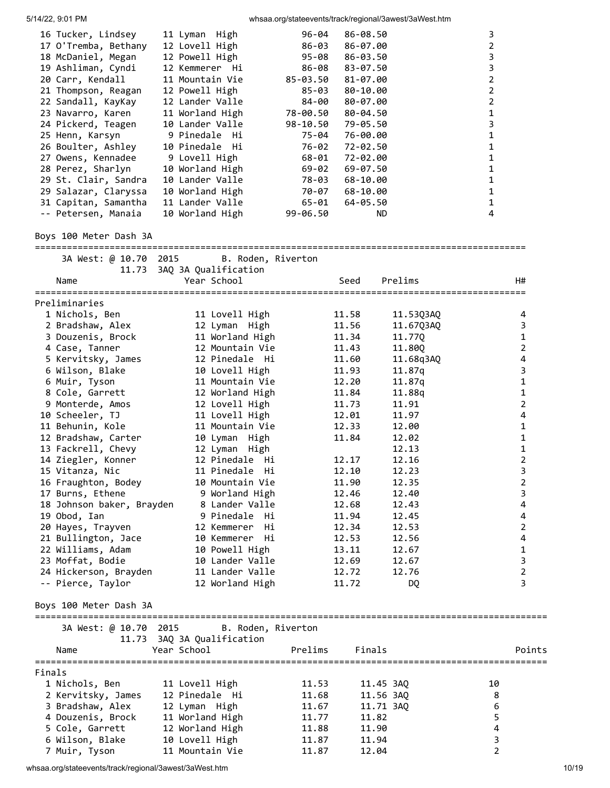| 16 Tucker, Lindsey   | 11 Lyman High   | 96-04        | 86-08.50     | 3 |
|----------------------|-----------------|--------------|--------------|---|
| 17 O'Tremba, Bethany | 12 Lovell High  | 86-03        | 86-07.00     | 2 |
| 18 McDaniel, Megan   | 12 Powell High  | 95-08        | 86-03.50     | 3 |
| 19 Ashliman, Cyndi   | 12 Kemmerer Hi  | 86-08        | 83-07.50     | 3 |
| 20 Carr, Kendall     | 11 Mountain Vie | 85-03.50     | 81-07.00     | 2 |
| 21 Thompson, Reagan  | 12 Powell High  | 85-03        | 80-10.00     | 2 |
| 22 Sandall, KayKay   | 12 Lander Valle | 84-00        | 80-07.00     | 2 |
| 23 Navarro, Karen    | 11 Worland High | 78-00.50     | 80-04.50     |   |
| 24 Pickerd, Teagen   | 10 Lander Valle | 98-10.50     | 79-05.50     | 3 |
| 25 Henn, Karsyn      | 9 Pinedale Hi   | 75-04        | 76-00.00     |   |
| 26 Boulter, Ashley   | 10 Pinedale Hi  | 76-02        | 72-02.50     |   |
| 27 Owens, Kennadee   | 9 Lovell High   | 68-01        | 72-02.00     |   |
| 28 Perez, Sharlyn    | 10 Worland High | 69-02        | $69 - 07.50$ |   |
| 29 St. Clair, Sandra | 10 Lander Valle | 78-03        | 68-10.00     |   |
| 29 Salazar, Claryssa | 10 Worland High | 70-07        | 68-10.00     |   |
| 31 Capitan, Samantha | 11 Lander Valle | 65-01        | 64-05.50     |   |
| -- Petersen, Manaia  | 10 Worland High | $99 - 06.50$ | ND.          | 4 |
|                      |                 |              |              |   |

## Boys 100 Meter Dash 3A

============================================================================================ 3A West: @ 10.70 2015 B. Roden, Riverton

|                           | 11.73 3AQ 3A Qualification |                   |           |                |
|---------------------------|----------------------------|-------------------|-----------|----------------|
| Name                      | Year School                | Seed              | Prelims   | H#             |
| Preliminaries             |                            |                   |           |                |
| 1 Nichols, Ben            | 11 Lovell High             | 11.58             | 11.53Q3AQ | 4              |
| 2 Bradshaw, Alex          | 12 Lyman High              | 11.56             | 11.67Q3AQ | 3              |
| 3 Douzenis, Brock         | 11 Worland High            | 11.34             | 11.770    | $\mathbf 1$    |
| 4 Case, Tanner            | 12 Mountain Vie            | 11.43             | 11.80Q    | $\overline{2}$ |
| 5 Kervitsky, James        | 12 Pinedale Hi             | 11.60             | 11.68q3AQ | 4              |
| 6 Wilson, Blake           | 10 Lovell High             | 11.93             | 11.87q    | 3              |
| 6 Muir, Tyson             | 11 Mountain Vie            | 12.20             | 11.87q    | $\mathbf{1}$   |
| 8 Cole, Garrett           | 12 Worland High            | 11.84             | 11.88q    | $\mathbf 1$    |
| 9 Monterde, Amos          | 12 Lovell High             | 11.73             | 11.91     | $\overline{2}$ |
| 10 Scheeler, TJ           | 11 Lovell High             | 12.01             | 11.97     | $\overline{4}$ |
| 11 Behunin, Kole          | 11 Mountain Vie            | 12.33             | 12.00     | $\mathbf{1}$   |
| 12 Bradshaw, Carter       | 10 Lyman High              | 11.84             | 12.02     | $\mathbf 1$    |
| 13 Fackrell, Chevy        | 12 Lyman High              |                   | 12.13     | $\mathbf 1$    |
| 14 Ziegler, Konner        | 12 Pinedale Hi             | 12.17             | 12.16     | $\overline{2}$ |
| 15 Vitanza, Nic           | 11 Pinedale Hi             | 12.10             | 12.23     | 3              |
| 16 Fraughton, Bodey       | 10 Mountain Vie            | 11.90             | 12.35     | $\overline{2}$ |
| 17 Burns, Ethene          | 9 Worland High             | 12.46             | 12.40     | 3              |
| 18 Johnson baker, Brayden | 8 Lander Valle             | 12.68             | 12.43     | 4              |
| 19 Obod, Ian              | 9 Pinedale Hi              | 11.94             | 12.45     | 4              |
| 20 Hayes, Trayven         | 12 Kemmerer Hi             | 12.34             | 12.53     | 2              |
| 21 Bullington, Jace       | 10 Kemmerer Hi             | 12.53             | 12.56     | 4              |
| 22 Williams, Adam         | 10 Powell High             | 13.11             | 12.67     | 1              |
| 23 Moffat, Bodie          | 10 Lander Valle            | 12.69             | 12.67     | 3              |
| 24 Hickerson, Brayden     | 11 Lander Valle            | 12.72             | 12.76     | $\overline{2}$ |
| -- Pierce, Taylor         | 12 Worland High            | 11.72             | DQ        | 3              |
| Boys 100 Meter Dash 3A    |                            |                   |           |                |
| 3A West: @ 10.70 2015     | B. Roden, Riverton         |                   |           |                |
|                           | 11.73 3AQ 3A Qualification |                   |           |                |
| Name                      | Year School                | Prelims<br>Finals |           | Points         |
| Finals                    |                            |                   |           |                |
| 1 Nichols, Ben            | 11 Lovell High             | 11.53             | 11.45 3AQ | 10             |

| 1 Nichols, Ben     | 11 Lovell High  | 11.53 | 11.45 3AO | 10 |
|--------------------|-----------------|-------|-----------|----|
| 2 Kervitsky, James | 12 Pinedale Hi  | 11.68 | 11.56 3AO | 8  |
| 3 Bradshaw, Alex   | 12 Lyman High   | 11.67 | 11.71 3AO | 6  |
| 4 Douzenis, Brock  | 11 Worland High | 11.77 | 11.82     | 5  |
| 5 Cole, Garrett    | 12 Worland High | 11.88 | 11.90     | 4  |
| 6 Wilson, Blake    | 10 Lovell High  | 11.87 | 11.94     | 3. |
| 7 Muir, Tyson      | 11 Mountain Vie | 11.87 | 12.04     |    |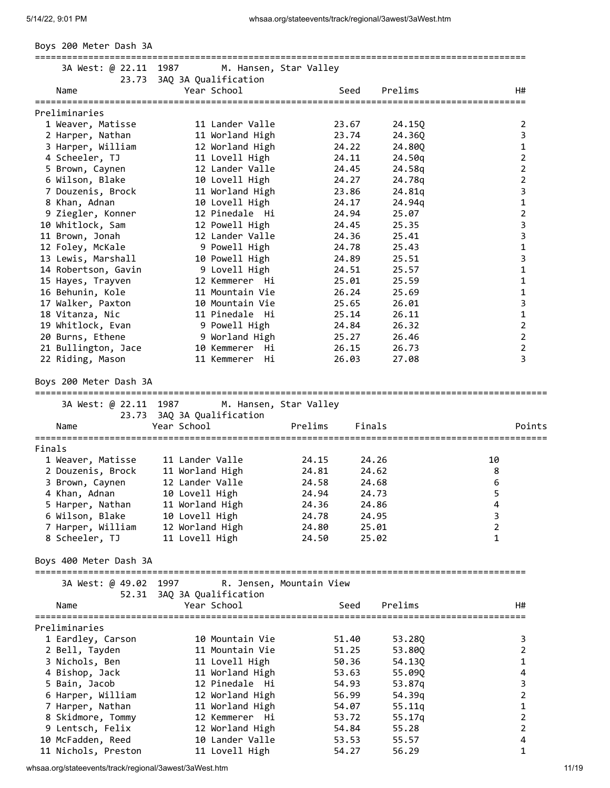|  |  | Boys 200 Meter Dash 3A |  |  |
|--|--|------------------------|--|--|
|--|--|------------------------|--|--|

| 3A West: @ 22.11 1987  | M. Hansen, Star Valley<br>23.73 3AQ 3A Qualification | ================================ |                |
|------------------------|------------------------------------------------------|----------------------------------|----------------|
| Name                   | Year School                                          | Prelims<br>Seed                  | H#             |
| Preliminaries          |                                                      |                                  |                |
| 1 Weaver, Matisse      | 11 Lander Valle                                      | 23.67<br>24.15Q                  | 2              |
| 2 Harper, Nathan       | 11 Worland High                                      | 23.74<br>24.36Q                  | 3              |
| 3 Harper, William      | 12 Worland High                                      | 24.22<br>24.80Q                  | $\mathbf{1}$   |
| 4 Scheeler, TJ         | 11 Lovell High                                       | 24.11<br>24.50g                  | $\overline{2}$ |
| 5 Brown, Caynen        | 12 Lander Valle                                      | 24.45<br>24.58q                  | $\overline{2}$ |
| 6 Wilson, Blake        | 10 Lovell High                                       | 24.27<br>24.78g                  | $\overline{2}$ |
| 7 Douzenis, Brock      | 11 Worland High                                      | 23.86<br>24.81q                  | 3              |
| 8 Khan, Adnan          | 10 Lovell High                                       | 24.17<br>24.94q                  | $\mathbf{1}$   |
| 9 Ziegler, Konner      | 12 Pinedale Hi                                       | 24.94<br>25.07                   | $\overline{2}$ |
| 10 Whitlock, Sam       | 12 Powell High                                       | 24.45<br>25.35                   | 3              |
| 11 Brown, Jonah        | 12 Lander Valle                                      | 24.36<br>25.41                   | 3              |
| 12 Foley, McKale       | 9 Powell High                                        | 24.78<br>25.43                   | $\mathbf 1$    |
| 13 Lewis, Marshall     | 10 Powell High                                       | 25.51<br>24.89                   | 3              |
| 14 Robertson, Gavin    | 9 Lovell High                                        | 25.57<br>24.51                   | 1              |
| 15 Hayes, Trayven      | 12 Kemmerer Hi                                       | 25.59<br>25.01                   | $\mathbf{1}$   |
| 16 Behunin, Kole       | 11 Mountain Vie                                      | 26.24<br>25.69                   | $\mathbf{1}$   |
| 17 Walker, Paxton      | 10 Mountain Vie                                      | 25.65<br>26.01                   | 3              |
| 18 Vitanza, Nic        | 11 Pinedale Hi                                       | 25.14<br>26.11                   | $\mathbf 1$    |
| 19 Whitlock, Evan      | 9 Powell High                                        | 24.84<br>26.32                   | $\overline{2}$ |
| 20 Burns, Ethene       | 9 Worland High                                       | 25.27<br>26.46                   | $\overline{2}$ |
| 21 Bullington, Jace    | 10 Kemmerer<br>Нi                                    | 26.15<br>26.73                   | $\overline{2}$ |
| 22 Riding, Mason       | 11 Kemmerer Hi                                       | 26.03<br>27.08                   | 3              |
| Boys 200 Meter Dash 3A |                                                      |                                  |                |
| 3A West: @ 22.11 1987  | M. Hansen, Star Valley                               |                                  |                |
|                        | 23.73 3AQ 3A Qualification                           |                                  |                |
| Name                   | Year School                                          | Prelims<br>Finals                | Points         |
| Finals                 |                                                      |                                  |                |
| 1 Weaver, Matisse      | 11 Lander Valle                                      | 24.15<br>24.26                   | 10             |
| 2 Douzenis, Brock      | 11 Worland High                                      | 24.81<br>24.62                   | 8              |
| 3 Brown, Caynen        | 12 Lander Valle                                      | 24.58<br>24.68                   | 6              |
| 4 Khan, Adnan          | 10 Lovell High                                       | 24.94<br>24.73                   | 5              |
| 5 Harper, Nathan       | 11 Worland High                                      | 24.36<br>24.86                   | 4              |
| 6 Wilson, Blake        | 10 Lovell High                                       | 24.78<br>24.95                   | 3              |
| 7 Harper, William      | 12 Worland High                                      | 24.80<br>25.01                   | $\overline{2}$ |
| 8 Scheeler, TJ         | 11 Lovell High                                       | 24.50<br>25.02                   | 1              |
| Boys 400 Meter Dash 3A |                                                      |                                  |                |
| 3A West: @ 49.02 1997  |                                                      | R. Jensen, Mountain View         |                |
| 52.31<br>Name          | 3AQ 3A Qualification<br>Year School                  | Prelims<br>Seed                  | H#             |
|                        |                                                      |                                  |                |
| Preliminaries          |                                                      |                                  |                |
| 1 Eardley, Carson      | 10 Mountain Vie                                      | 51.40<br>53.28Q                  | 3              |
| 2 Bell, Tayden         | 11 Mountain Vie                                      | 51.25<br>53.80Q                  | $\overline{2}$ |
| 3 Nichols, Ben         | 11 Lovell High                                       | 50.36<br>54.13Q                  | $\mathbf{1}$   |
| 4 Bishop, Jack         | 11 Worland High                                      | 53.63<br>55.09Q                  | 4              |
| 5 Bain, Jacob          | 12 Pinedale Hi                                       | 54.93<br>53.87q                  | 3              |
| 6 Harper, William      | 12 Worland High                                      | 56.99<br>54.39q                  | 2              |
| 7 Harper, Nathan       | 11 Worland High                                      | 54.07<br>55.11q                  | 1              |
| 8 Skidmore, Tommy      | 12 Kemmerer Hi                                       | 53.72<br>55.17q                  | 2              |
| 9 Lentsch, Felix       | 12 Worland High                                      | 54.84<br>55.28                   | $\overline{2}$ |
| 10 McFadden, Reed      | 10 Lander Valle                                      | 53.53<br>55.57                   | 4              |
| 11 Nichols, Preston    | 11 Lovell High                                       | 54.27<br>56.29                   | $\mathbf{1}$   |
|                        |                                                      |                                  |                |

whsaa.org/stateevents/track/regional/3awest/3aWest.htm 11/19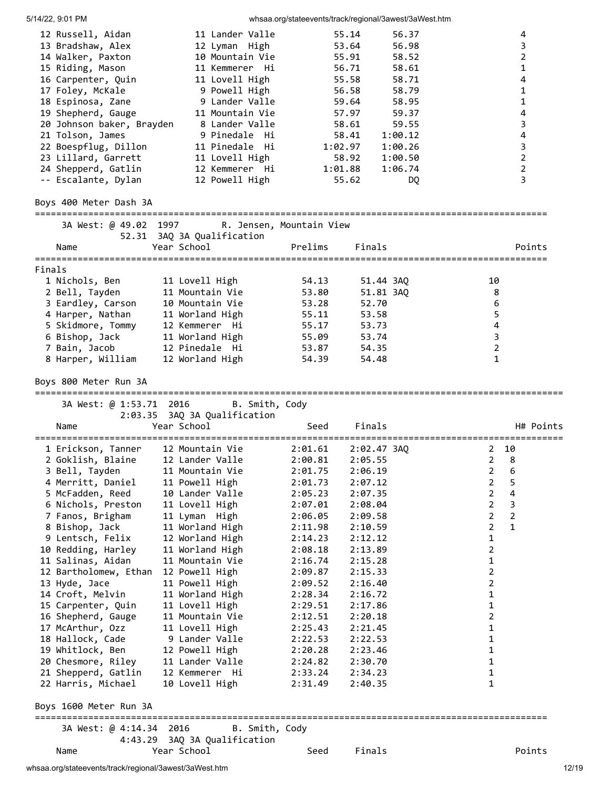5/14/22, 9:01 PM whsaa.org/stateevents/track/regional/3awest/3aWest.htm 12 Russell, Aidan 11 Lander Valle 55.14 56.37 4 13 Bradshaw, Alex 12 Lyman High 53.64 56.98 3 14 Walker, Paxton 10 Mountain Vie 55.91 58.52 2 15 Riding, Mason 11 Kemmerer Hi 56.71 58.61 1 16 Carpenter, Quin 11 Lovell High 55.58 58.71 4 17 Foley, McKale 9 Powell High 56.58 58.79 1 18 Espinosa, Zane 9 Lander Valle 59.64 58.95 1 19 Shepherd, Gauge 11 Mountain Vie 57.97 59.37 4 20 Johnson baker, Brayden 8 Lander Valle 58.61 59.55 3 21 Tolson, James 9 Pinedale Hi 58.41 1:00.12 4 22 Boespflug, Dillon 11 Pinedale Hi 1:02.97 1:00.26 3 23 Lillard, Garrett 11 Lovell High 58.92 1:00.50 2 24 Shepperd, Gatlin 12 Kemmerer Hi 1:01.88 1:06.74 2 -- Escalante, Dylan 12 Powell High 55.62 DQ 3 Boys 400 Meter Dash 3A ================================================================================================ 3A West: @ 49.02 1997 R. Jensen, Mountain View 52.31 3AQ 3A Qualification Name Year School Prelims Finals Points ================================================================================================ Finals 1 Nichols, Ben 11 Lovell High 54.13 51.44 3AQ 10 2 Bell, Tayden 11 Mountain Vie 53.80 51.81 3AQ 8 3 Eardley, Carson 10 Mountain Vie 53.28 52.70 6 4 Harper, Nathan 11 Worland High 55.11 53.58 5 5 Skidmore, Tommy 12 Kemmerer Hi 55.17 53.73 4 6 Bishop, Jack 11 Worland High 55.09 53.74 3 7 Bain, Jacob 12 Pinedale Hi 53.87 54.35 2 8 Harper, William 12 Worland High 54.39 54.48 1 Boys 800 Meter Run 3A =================================================================================================== 3A West: @ 1:53.71 2016 B. Smith, Cody 2:03.35 3AQ 3A Qualification Name Year School Seed Finals H# Points =================================================================================================== 1 Erickson, Tanner 12 Mountain Vie 2:01.61 2:02.47 3AQ 2 10 2 Goklish, Blaine 12 Lander Valle 2:00.81 2:05.55 2 8 3 Bell, Tayden 11 Mountain Vie 2:01.75 2:06.19 2 6 4 Merritt, Daniel 11 Powell High 2:01.73 2:07.12 2 5 5 McFadden, Reed 10 Lander Valle 2:05.23 2:07.35 2 4 6 Nichols, Preston 11 Lovell High 2:07.01 2:08.04 2 3 7 Fanos, Brigham 11 Lyman High 2:06.05 2:09.58 2 2 8 Bishop, Jack 11 Worland High 2:11.98 2:10.59 2 1 9 Lentsch, Felix 12 Worland High 2:14.23 2:12.12 1 10 Redding, Harley 11 Worland High 2:08.18 2:13.89 2 11 Salinas, Aidan 11 Mountain Vie 2:16.74 2:15.28 1 12 Bartholomew, Ethan 12 Powell High 2:09.87 2:15.33 2 13 Hyde, Jace 11 Powell High 2:09.52 2:16.40 2 14 Croft, Melvin 11 Worland High 2:28.34 2:16.72 1 15 Carpenter, Quin 11 Lovell High 2:29.51 2:17.86 1 16 Shepherd, Gauge 11 Mountain Vie 2:12.51 2:20.18 2 17 McArthur, Ozz 11 Lovell High 2:25.43 2:21.45 1 18 Hallock, Cade 9 Lander Valle 2:22.53 2:22.53 1 19 Whitlock, Ben 12 Powell High 2:20.28 2:23.46 1 20 Chesmore, Riley 11 Lander Valle 2:24.82 2:30.70 1 21 Shepperd, Gatlin 12 Kemmerer Hi 2:33.24 2:34.23 1 22 Harris, Michael 10 Lovell High 2:31.49 2:40.35 1 Boys 1600 Meter Run 3A ================================================================================================ 3A West: @ 4:14.34 2016 B. Smith, Cody 4:43.29 3AQ 3A Qualification Name Year School Seed Finals Points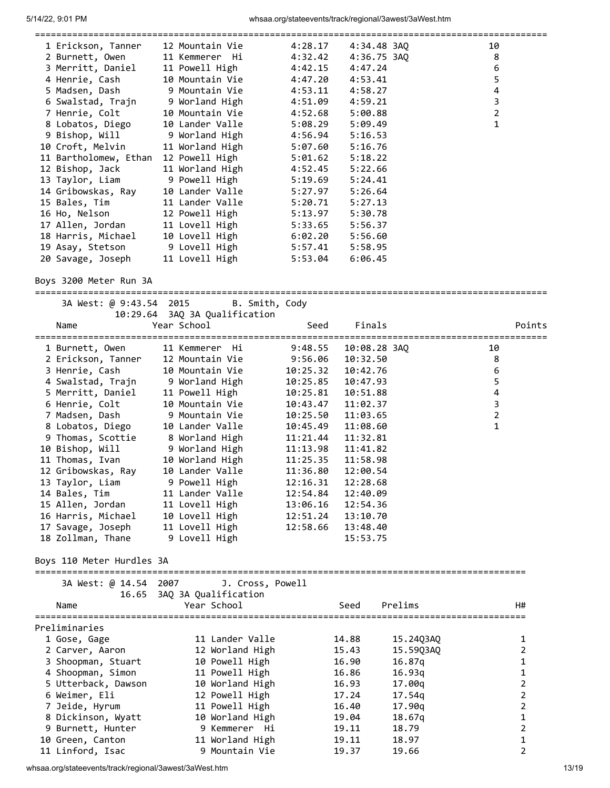| 1 Erickson, Tanner                    | 12 Mountain Vie | 4:28.17 | 4:34.48 3AQ | 10             |
|---------------------------------------|-----------------|---------|-------------|----------------|
| 2 Burnett, Owen 11 Kemmerer Hi        |                 | 4:32.42 | 4:36.75 3AO | 8              |
| 3 Merritt, Daniel                     | 11 Powell High  | 4:42.15 | 4:47.24     | 6              |
| 4 Henrie, Cash                        | 10 Mountain Vie | 4:47.20 | 4:53.41     | 5              |
| 5 Madsen, Dash 9 Mountain Vie         |                 | 4:53.11 | 4:58.27     | 4              |
| 6 Swalstad, Trajn      9 Worland High |                 | 4:51.09 | 4:59.21     | 3              |
| 7 Henrie, Colt                        | 10 Mountain Vie | 4:52.68 | 5:00.88     | $\overline{2}$ |
| 8 Lobatos, Diego                      | 10 Lander Valle | 5:08.29 | 5:09.49     | 1              |
| 9 Bishop, Will 9 Worland High         |                 | 4:56.94 | 5:16.53     |                |
| 10 Croft, Melvin                      | 11 Worland High | 5:07.60 | 5:16.76     |                |
| 11 Bartholomew, Ethan                 | 12 Powell High  | 5:01.62 | 5:18.22     |                |
| 12 Bishop, Jack                       | 11 Worland High | 4:52.45 | 5:22.66     |                |
| 13 Taylor, Liam                       | 9 Powell High   | 5:19.69 | 5:24.41     |                |
| 14 Gribowskas, Ray                    | 10 Lander Valle | 5:27.97 | 5:26.64     |                |
| 15 Bales, Tim                         | 11 Lander Valle | 5:20.71 | 5:27.13     |                |
| 16 Ho, Nelson                         | 12 Powell High  | 5:13.97 | 5:30.78     |                |
| 17 Allen, Jordan                      | 11 Lovell High  | 5:33.65 | 5:56.37     |                |
| 18 Harris, Michael                    | 10 Lovell High  | 6:02.20 | 5:56.60     |                |
| 19 Asay, Stetson 9 Lovell High        |                 | 5:57.41 | 5:58.95     |                |
| 20 Savage, Joseph                     | 11 Lovell High  | 5:53.04 | 6:06.45     |                |
|                                       |                 |         |             |                |

Boys 3200 Meter Run 3A

| 3A West: @ 9:43.54 2015   | B. Smith, Cody                               |          |              |           |                         |                |
|---------------------------|----------------------------------------------|----------|--------------|-----------|-------------------------|----------------|
| Name                      | 10:29.64 3AQ 3A Qualification<br>Year School | Seed     | Finals       |           |                         | Points         |
| 1 Burnett, Owen           | 11 Kemmerer Hi                               | 9:48.55  | 10:08.28 3AQ |           | 10                      |                |
| 2 Erickson, Tanner        | 12 Mountain Vie                              | 9:56.06  | 10:32.50     |           | 8                       |                |
| 3 Henrie, Cash            | 10 Mountain Vie                              | 10:25.32 | 10:42.76     |           | 6                       |                |
| 4 Swalstad, Trajn         | 9 Worland High                               | 10:25.85 | 10:47.93     |           | 5                       |                |
| 5 Merritt, Daniel         | 11 Powell High                               | 10:25.81 | 10:51.88     |           | $\overline{\mathbf{4}}$ |                |
| 6 Henrie, Colt            | 10 Mountain Vie                              | 10:43.47 | 11:02.37     |           | 3                       |                |
| 7 Madsen, Dash            | 9 Mountain Vie                               | 10:25.50 | 11:03.65     |           | $\overline{2}$          |                |
| 8 Lobatos, Diego          | 10 Lander Valle                              | 10:45.49 | 11:08.60     |           | $\mathbf{1}$            |                |
| 9 Thomas, Scottie         | 8 Worland High                               | 11:21.44 | 11:32.81     |           |                         |                |
| 10 Bishop, Will           | 9 Worland High                               | 11:13.98 | 11:41.82     |           |                         |                |
| 11 Thomas, Ivan           | 10 Worland High                              | 11:25.35 | 11:58.98     |           |                         |                |
| 12 Gribowskas, Ray        | 10 Lander Valle                              | 11:36.80 | 12:00.54     |           |                         |                |
| 13 Taylor, Liam           | 9 Powell High                                | 12:16.31 | 12:28.68     |           |                         |                |
| 14 Bales, Tim             | 11 Lander Valle                              | 12:54.84 | 12:40.09     |           |                         |                |
| 15 Allen, Jordan          | 11 Lovell High                               | 13:06.16 | 12:54.36     |           |                         |                |
| 16 Harris, Michael        | 10 Lovell High                               | 12:51.24 | 13:10.70     |           |                         |                |
| 17 Savage, Joseph         | 11 Lovell High                               | 12:58.66 | 13:48.40     |           |                         |                |
| 18 Zollman, Thane         | 9 Lovell High                                |          | 15:53.75     |           |                         |                |
| Boys 110 Meter Hurdles 3A |                                              |          |              |           |                         |                |
| 3A West: @ 14.54 2007     | J. Cross, Powell                             |          |              |           |                         |                |
| 16.65                     | 3AQ 3A Qualification                         |          |              |           |                         |                |
| Name                      | Year School                                  |          | Seed         | Prelims   |                         | H#             |
| Preliminaries             |                                              |          |              |           |                         |                |
| 1 Gose, Gage              | 11 Lander Valle                              |          | 14.88        | 15.24Q3AQ |                         | 1              |
| 2 Carver, Aaron           | 12 Worland High                              |          | 15.43        | 15.59Q3AQ |                         | $\overline{2}$ |
| 3 Shoopman, Stuart        | 10 Powell High                               |          | 16.90        | 16.87q    |                         | 1              |
| 4 Shoopman, Simon         | 11 Powell High                               |          | 16.86        | 16.93q    |                         | $\mathbf 1$    |
| 5 Utterback, Dawson       | 10 Worland High                              |          | 16.93        | 17.00q    |                         | $\mathbf 2$    |
| 6 Weimer, Eli             | 12 Powell High                               |          | 17.24        | 17.54q    |                         | $\overline{2}$ |
| 7 Jeide, Hyrum            | 11 Powell High                               |          | 16.40        | 17.90q    |                         | $\overline{2}$ |
| 8 Dickinson, Wyatt        | 10 Worland High                              |          | 19.04        | 18.67q    |                         | $\mathbf{1}$   |
| 9 Burnett, Hunter         | 9 Kemmerer Hi                                |          | 19.11        | 18.79     |                         | $\overline{2}$ |
| 10 Green, Canton          | 11 Worland High                              |          | 19.11        | 18.97     |                         | $\mathbf{1}$   |
| 11 Linford, Isac          | 9 Mountain Vie                               |          | 19.37        | 19.66     |                         | $\overline{2}$ |

whsaa.org/stateevents/track/regional/3awest/3aWest.htm 13/19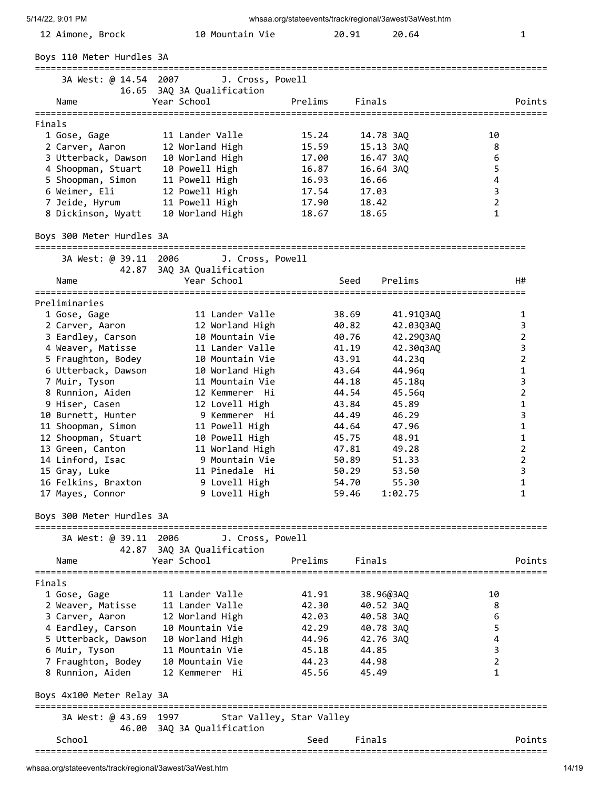| 12 Aimone, Brock                          | 10 Mountain Vie                           |                          | 20.91                  | 20.64          |                         | 1                 |
|-------------------------------------------|-------------------------------------------|--------------------------|------------------------|----------------|-------------------------|-------------------|
| Boys 110 Meter Hurdles 3A                 |                                           |                          |                        |                |                         |                   |
| 3A West: @ 14.54 2007                     | J. Cross, Powell                          |                          |                        |                |                         |                   |
| Name                                      | 16.65 3AQ 3A Qualification<br>Year School | Prelims                  | Finals                 |                |                         | Points            |
| Finals                                    |                                           |                          |                        |                |                         |                   |
| 1 Gose, Gage                              | 11 Lander Valle                           | 15.24                    | 14.78 3AQ              |                | 10                      |                   |
| 2 Carver, Aaron                           | 12 Worland High                           | 15.59                    | 15.13 3AQ              |                | 8                       |                   |
| 3 Utterback, Dawson<br>4 Shoopman, Stuart | 10 Worland High<br>10 Powell High         | 17.00<br>16.87           | 16.47 3AQ<br>16.64 3AQ |                | 6<br>5                  |                   |
| 5 Shoopman, Simon                         | 11 Powell High                            | 16.93                    | 16.66                  |                | $\overline{\mathbf{4}}$ |                   |
| 6 Weimer, Eli                             | 12 Powell High                            | 17.54                    | 17.03                  |                | 3                       |                   |
| 7 Jeide, Hyrum                            | 11 Powell High                            | 17.90                    | 18.42                  |                | $\overline{2}$          |                   |
| 8 Dickinson, Wyatt                        | 10 Worland High                           | 18.67                    | 18.65                  |                | 1                       |                   |
| Boys 300 Meter Hurdles 3A                 |                                           |                          |                        |                |                         |                   |
| 3A West: @ 39.11 2006                     | J. Cross, Powell                          |                          |                        |                |                         |                   |
| Name                                      | 42.87 3AQ 3A Qualification<br>Year School |                          | Seed                   | Prelims        |                         | H#                |
|                                           |                                           |                          |                        |                |                         |                   |
| Preliminaries<br>1 Gose, Gage             | 11 Lander Valle                           |                          | 38.69                  | 41.91Q3AQ      |                         | 1                 |
| 2 Carver, Aaron                           | 12 Worland High                           |                          | 40.82                  | 42.03Q3AQ      |                         | 3                 |
| 3 Eardley, Carson                         | 10 Mountain Vie                           |                          | 40.76                  | 42.29Q3AQ      |                         | 2                 |
| 4 Weaver, Matisse                         | 11 Lander Valle                           |                          | 41.19                  | 42.30q3AQ      |                         | 3                 |
| 5 Fraughton, Bodey                        | 10 Mountain Vie                           |                          | 43.91                  | 44.23q         |                         | $\overline{2}$    |
| 6 Utterback, Dawson                       | 10 Worland High                           |                          | 43.64                  | 44.96g         |                         | $\mathbf{1}$      |
| 7 Muir, Tyson                             | 11 Mountain Vie                           |                          | 44.18                  | 45.18g         |                         | 3                 |
| 8 Runnion, Aiden                          | 12 Kemmerer Hi                            |                          | 44.54                  | 45.56g         |                         | $\overline{2}$    |
| 9 Hiser, Casen                            | 12 Lovell High                            |                          | 43.84                  | 45.89          |                         | 1                 |
| 10 Burnett, Hunter                        | 9 Kemmerer Hi                             |                          | 44.49                  | 46.29          |                         | 3<br>$\mathbf{1}$ |
| 11 Shoopman, Simon<br>12 Shoopman, Stuart | 11 Powell High<br>10 Powell High          |                          | 44.64<br>45.75         | 47.96<br>48.91 |                         | $\mathbf{1}$      |
| 13 Green, Canton                          | 11 Worland High                           |                          | 47.81                  | 49.28          |                         | $\overline{2}$    |
| 14 Linford, Isac                          | 9 Mountain Vie                            |                          | 50.89                  | 51.33          |                         | $\overline{2}$    |
| 15 Gray, Luke                             | 11 Pinedale Hi                            |                          | 50.29                  | 53.50          |                         | 3                 |
| 16 Felkins, Braxton                       | 9 Lovell High                             |                          | 54.70                  | 55.30          |                         | 1                 |
| 17 Mayes, Connor                          | 9 Lovell High                             |                          | 59.46                  | 1:02.75        |                         | 1                 |
| Boys 300 Meter Hurdles 3A                 |                                           |                          |                        |                |                         |                   |
| 3A West: @ 39.11 2006                     | J. Cross, Powell                          |                          |                        |                |                         |                   |
|                                           | 42.87 3AQ 3A Qualification                |                          |                        |                |                         |                   |
| Name                                      | Year School                               | Prelims                  | Finals                 |                |                         | Points            |
| Finals                                    |                                           |                          |                        |                |                         |                   |
| 1 Gose, Gage                              | 11 Lander Valle                           | 41.91                    | 38.96@3AQ              |                | 10                      |                   |
| 2 Weaver, Matisse                         | 11 Lander Valle                           | 42.30                    | 40.52 3AQ              |                | 8                       |                   |
| 3 Carver, Aaron                           | 12 Worland High                           | 42.03                    | 40.58 3AQ              |                | 6                       |                   |
| 4 Eardley, Carson                         | 10 Mountain Vie                           | 42.29                    | 40.78 3AQ              |                | 5                       |                   |
| 5 Utterback, Dawson                       | 10 Worland High                           | 44.96                    | 42.76 3AQ              |                | 4<br>3                  |                   |
| 6 Muir, Tyson<br>7 Fraughton, Bodey       | 11 Mountain Vie<br>10 Mountain Vie        | 45.18<br>44.23           | 44.85<br>44.98         |                | 2                       |                   |
| 8 Runnion, Aiden                          | 12 Kemmerer Hi                            | 45.56                    | 45.49                  |                | 1                       |                   |
| Boys 4x100 Meter Relay 3A                 |                                           |                          |                        |                |                         |                   |
| 3A West: @ 43.69 1997                     |                                           | Star Valley, Star Valley |                        |                |                         |                   |
| School                                    | 46.00 3AQ 3A Qualification                | Seed                     | Finals                 |                |                         | Points            |
| ===============================           |                                           |                          |                        |                |                         |                   |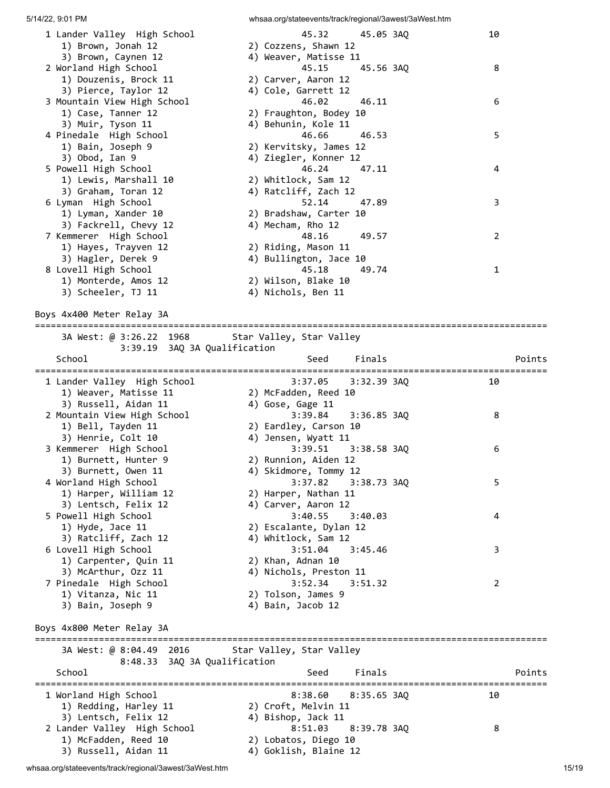| 1 Lander Valley High School<br>1) Brown, Jonah 12                         | 45.32<br>45.05 3AQ<br>2) Cozzens, Shawn 12                              | 10             |
|---------------------------------------------------------------------------|-------------------------------------------------------------------------|----------------|
| 3) Brown, Caynen 12<br>2 Worland High School<br>1) Douzenis, Brock 11     | 4) Weaver, Matisse 11<br>45.15<br>45.56 3AQ<br>2) Carver, Aaron 12      | 8              |
| 3) Pierce, Taylor 12<br>3 Mountain View High School<br>1) Case, Tanner 12 | 4) Cole, Garrett 12<br>46.02<br>46.11<br>2) Fraughton, Bodey 10         | 6              |
| 3) Muir, Tyson 11<br>4 Pinedale High School<br>1) Bain, Joseph 9          | 4) Behunin, Kole 11<br>46.66<br>46.53<br>2) Kervitsky, James 12         | 5              |
| 3) Obod, Ian 9<br>5 Powell High School<br>1) Lewis, Marshall 10           | 4) Ziegler, Konner 12<br>46.24<br>47.11<br>2) Whitlock, Sam 12          | 4              |
| 3) Graham, Toran 12<br>6 Lyman High School                                | 4) Ratcliff, Zach 12<br>52.14<br>47.89                                  | 3              |
| 1) Lyman, Xander 10<br>3) Fackrell, Chevy 12<br>7 Kemmerer High School    | 2) Bradshaw, Carter 10<br>4) Mecham, Rho 12<br>48.16<br>49.57           | $\overline{2}$ |
| 1) Hayes, Trayven 12<br>3) Hagler, Derek 9<br>8 Lovell High School        | 2) Riding, Mason 11<br>4) Bullington, Jace 10<br>45.18<br>49.74         | $\mathbf{1}$   |
| 1) Monterde, Amos 12<br>3) Scheeler, TJ 11                                | 2) Wilson, Blake 10<br>4) Nichols, Ben 11                               |                |
| Boys 4x400 Meter Relay 3A                                                 |                                                                         |                |
| 3A West: @ 3:26.22 1968                                                   | Star Valley, Star Valley                                                |                |
| 3:39.19 3AQ 3A Qualification<br>School                                    | Finals<br>Seed                                                          | Points         |
| 1 Lander Valley High School<br>1) Weaver, Matisse 11                      | 3:37.05<br>$3:32.39$ $3AQ$<br>2) McFadden, Reed 10                      | 10             |
| 3) Russell, Aidan 11<br>2 Mountain View High School<br>1) Bell, Tayden 11 | 4) Gose, Gage 11<br>3:39.84<br>$3:36.85$ $3AQ$<br>2) Eardley, Carson 10 | 8              |
| 3) Henrie, Colt 10<br>3 Kemmerer High School<br>1) Burnett, Hunter 9      | 4) Jensen, Wyatt 11<br>3:39.51<br>3:38.58 3AQ<br>2) Runnion, Aiden 12   | 6              |
| 3) Burnett, Owen 11<br>4 Worland High School<br>1) Harper, William 12     | 4) Skidmore, Tommy 12<br>3:37.82<br>3:38.73 3AQ<br>2) Harper, Nathan 11 | 5              |
| 3) Lentsch, Felix 12<br>5 Powell High School<br>1) Hyde, Jace 11          | 4) Carver, Aaron 12<br>3:40.55<br>3:40.03<br>2) Escalante, Dylan 12     | 4              |
| 3) Ratcliff, Zach 12<br>6 Lovell High School<br>1) Carpenter, Quin 11     | 4) Whitlock, Sam 12<br>3:45.46<br>3:51.04<br>2) Khan, Adnan 10          | 3              |
| 3) McArthur, Ozz 11<br>7 Pinedale High School                             | 4) Nichols, Preston 11<br>3:52.34<br>3:51.32                            | 2              |
|                                                                           |                                                                         |                |
| 1) Vitanza, Nic 11<br>3) Bain, Joseph 9                                   | 2) Tolson, James 9<br>4) Bain, Jacob 12                                 |                |
| Boys 4x800 Meter Relay 3A                                                 |                                                                         |                |
| 3A West: @ 8:04.49 2016                                                   | Star Valley, Star Valley                                                |                |
| 8:48.33 3AQ 3A Qualification<br>School                                    | Finals<br>Seed                                                          | Points         |
| 1 Worland High School<br>1) Redding, Harley 11<br>3) Lentsch, Felix 12    | 8:38.60<br>$8:35.65$ 3AQ<br>2) Croft, Melvin 11<br>4) Bishop, Jack 11   | 10             |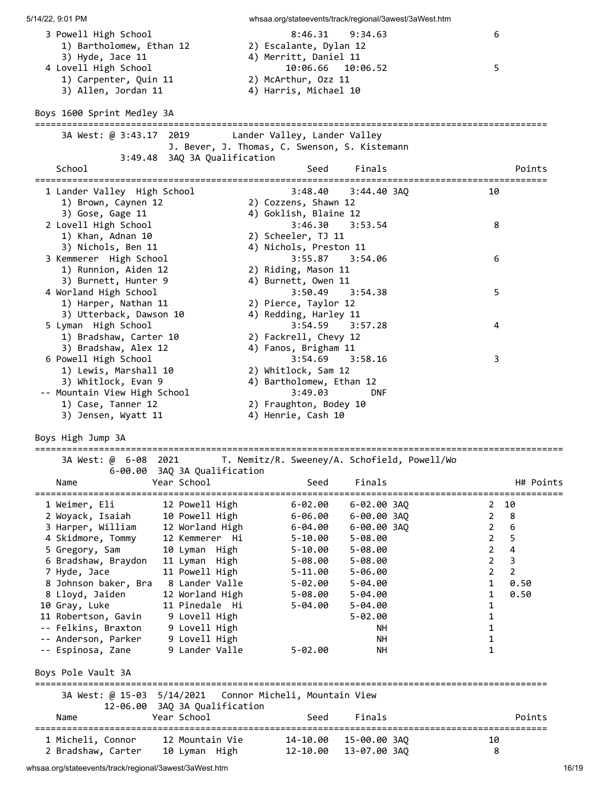| 5/14/22, 9:01 PM                                                                                                    | whsaa.org/stateevents/track/regional/3awest/3aWest.htm                                            |                                                                                                               |
|---------------------------------------------------------------------------------------------------------------------|---------------------------------------------------------------------------------------------------|---------------------------------------------------------------------------------------------------------------|
| 3 Powell High School<br>1) Bartholomew, Ethan 12<br>3) Hyde, Jace 11                                                | 8:46.31<br>9:34.63<br>2) Escalante, Dylan 12<br>4) Merritt, Daniel 11                             | 6                                                                                                             |
| 4 Lovell High School<br>1) Carpenter, Quin 11<br>3) Allen, Jordan 11                                                | 10:06.66 10:06.52<br>2) McArthur, Ozz 11<br>4) Harris, Michael 10                                 | 5                                                                                                             |
| Boys 1600 Sprint Medley 3A                                                                                          |                                                                                                   |                                                                                                               |
| 3A West: @ 3:43.17 2019                                                                                             | Lander Valley, Lander Valley<br>J. Bever, J. Thomas, C. Swenson, S. Kistemann                     |                                                                                                               |
| 3:49.48 3AQ 3A Qualification<br>School                                                                              | Finals<br>Seed                                                                                    | Points                                                                                                        |
| 1 Lander Valley High School<br>1) Brown, Caynen 12                                                                  | 3:48.40<br>$3:44.40$ $3AQ$<br>2) Cozzens, Shawn 12                                                | 10                                                                                                            |
| 3) Gose, Gage 11<br>2 Lovell High School<br>1) Khan, Adnan 10                                                       | 4) Goklish, Blaine 12<br>$3:46.30$ $3:53.54$<br>2) Scheeler, TJ 11                                | 8                                                                                                             |
| 3) Nichols, Ben 11<br>3 Kemmerer High School<br>1) Runnion, Aiden 12                                                | 4) Nichols, Preston 11<br>3:55.87<br>3:54.06<br>2) Riding, Mason 11                               | 6                                                                                                             |
| 3) Burnett, Hunter 9<br>4 Worland High School<br>1) Harper, Nathan 11                                               | 4) Burnett, Owen 11<br>3:50.49<br>3:54.38<br>2) Pierce, Taylor 12                                 | 5                                                                                                             |
| 3) Utterback, Dawson 10<br>5 Lyman High School<br>1) Bradshaw, Carter 10                                            | 4) Redding, Harley 11<br>$3:54.59$ $3:57.28$<br>2) Fackrell, Chevy 12                             | 4                                                                                                             |
| 3) Bradshaw, Alex 12<br>6 Powell High School<br>1) Lewis, Marshall 10                                               | 4) Fanos, Brigham 11<br>3:58.16<br>3:54.69<br>2) Whitlock, Sam 12                                 | 3                                                                                                             |
| 3) Whitlock, Evan 9<br>-- Mountain View High School<br>1) Case, Tanner 12<br>3) Jensen, Wyatt 11                    | 4) Bartholomew, Ethan 12<br>3:49.03<br><b>DNF</b><br>2) Fraughton, Bodey 10<br>4) Henrie, Cash 10 |                                                                                                               |
| Boys High Jump 3A                                                                                                   |                                                                                                   |                                                                                                               |
| 3A West: @ 6-08 2021<br>6-00.00 3AQ 3A Qualification<br>Year School                                                 | T. Nemitz/R. Sweeney/A. Schofield, Powell/Wo<br>Seed<br>Finals                                    | H# Points                                                                                                     |
| Name                                                                                                                |                                                                                                   |                                                                                                               |
| 12 Powell High<br>1 Weimer, Eli<br>2 Woyack, Isaiah<br>10 Powell High<br>3 Harper, William<br>12 Worland High       | 6-02.00 3AQ<br>$6 - 02.00$<br>$6 - 00.00$ $3AQ$<br>6-06.00<br>6-00.00 3AQ<br>6-04.00              | 10<br>2<br>$\overline{2}$<br>8<br>$\boldsymbol{6}$<br>$\overline{2}$                                          |
| 4 Skidmore, Tommy<br>12 Kemmerer Hi<br>5 Gregory, Sam<br>10 Lyman High<br>6 Bradshaw, Braydon<br>11 Lyman High      | $5 - 08.00$<br>$5 - 10.00$<br>$5 - 08.00$<br>$5 - 10.00$<br>5-08.00<br>$5 - 08.00$                | 5<br>$\overline{2}$<br>$\overline{\mathbf{4}}$<br>$\overline{2}$<br>$\overline{\mathbf{3}}$<br>$\overline{2}$ |
| 11 Powell High<br>7 Hyde, Jace<br>8 Lander Valle<br>8 Johnson baker, Bra                                            | 5-11.00<br>$5 - 06.00$<br>5-02.00<br>$5 - 04.00$                                                  | $\overline{2}$<br>$\overline{2}$<br>$\mathbf{1}$<br>0.50                                                      |
| 8 Lloyd, Jaiden<br>12 Worland High<br>10 Gray, Luke<br>11 Pinedale Hi<br>9 Lovell High<br>11 Robertson, Gavin       | 5-08.00<br>$5 - 04.00$<br>5-04.00<br>$5 - 04.00$<br>$5 - 02.00$                                   | 0.50<br>1<br>1<br>1                                                                                           |
| 9 Lovell High<br>-- Felkins, Braxton<br>-- Anderson, Parker<br>9 Lovell High<br>-- Espinosa, Zane<br>9 Lander Valle | NH.<br>NН<br>$5 - 02.00$<br><b>NH</b>                                                             | 1<br>1<br>1                                                                                                   |
| Boys Pole Vault 3A                                                                                                  |                                                                                                   |                                                                                                               |
| 3A West: @ 15-03 5/14/2021<br>12-06.00 3AQ 3A Qualification                                                         | Connor Micheli, Mountain View                                                                     |                                                                                                               |
| Year School<br>Name                                                                                                 | Finals<br>Seed<br>-----------------------------------                                             | Points                                                                                                        |
| 1 Micheli, Connor<br>12 Mountain Vie<br>2 Bradshaw, Carter<br>10 Lyman High                                         | 14-10.00<br>15-00.00 3AQ<br>13-07.00 3AQ<br>12-10.00                                              | 10<br>8                                                                                                       |

whsaa.org/stateevents/track/regional/3awest/3aWest.htm 16/19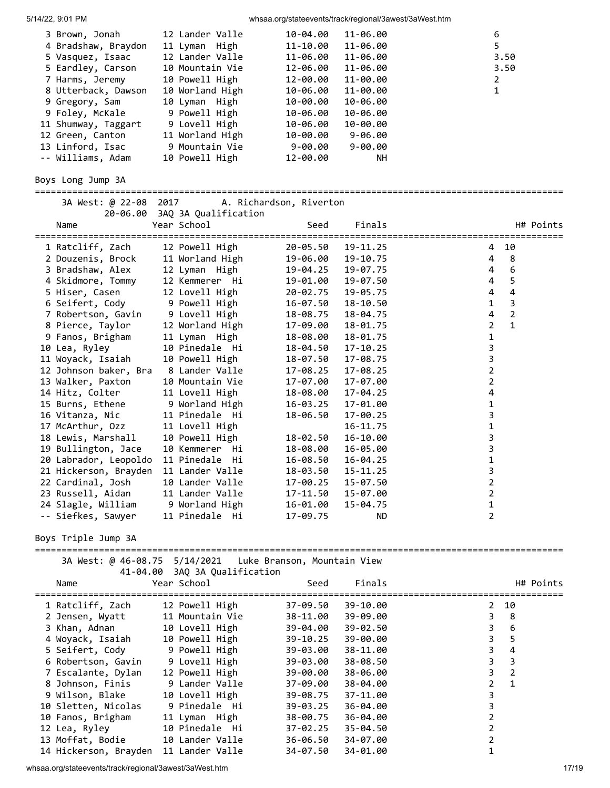| 5/14/22, 9:01 PM |  |
|------------------|--|
|                  |  |

whsaa.org/stateevents/track/regional/3awest/3aWest.htm

| 3 Brown, Jonah                                    | 12 Lander Valle                          | 10-04.00                    | 11-06.00     | 6                                      |                         |
|---------------------------------------------------|------------------------------------------|-----------------------------|--------------|----------------------------------------|-------------------------|
| 4 Bradshaw, Braydon                               | 11 Lyman High                            | 11-10.00                    | 11-06.00     | 5                                      |                         |
| 5 Vasquez, Isaac                                  | 12 Lander Valle                          | 11-06.00                    | 11-06.00     |                                        | 3.50                    |
| 5 Eardley, Carson                                 | 10 Mountain Vie                          | 12-06.00                    | 11-06.00     |                                        | 3.50                    |
| 7 Harms, Jeremy                                   | 10 Powell High                           | 12-00.00                    | 11-00.00     | $\overline{2}$                         |                         |
| 8 Utterback, Dawson                               | 10 Worland High                          | 10-06.00                    | 11-00.00     | 1                                      |                         |
| 9 Gregory, Sam                                    | 10 Lyman High                            | 10-00.00                    | 10-06.00     |                                        |                         |
| 9 Foley, McKale                                   | 9 Powell High                            | 10-06.00                    | 10-06.00     |                                        |                         |
| 11 Shumway, Taggart                               | 9 Lovell High                            | 10-06.00                    | 10-00.00     |                                        |                         |
| 12 Green, Canton                                  | 11 Worland High                          | 10-00.00                    | $9 - 06.00$  |                                        |                         |
| 13 Linford, Isac                                  | 9 Mountain Vie                           | 9-00.00                     | $9 - 00.00$  |                                        |                         |
| -- Williams, Adam                                 | 10 Powell High                           | 12-00.00                    | NН           |                                        |                         |
| Boys Long Jump 3A                                 |                                          |                             |              |                                        |                         |
| 3A West: @ 22-08 2017                             |                                          | A. Richardson, Riverton     |              |                                        |                         |
|                                                   | 20-06.00 3AQ 3A Qualification            |                             |              |                                        |                         |
| Name                                              | Year School                              | Seed                        | Finals       |                                        | H# Points               |
|                                                   |                                          |                             |              |                                        |                         |
| 1 Ratcliff, Zach                                  | 12 Powell High                           | 20-05.50                    | 19-11.25     | 4                                      | 10                      |
| 2 Douzenis, Brock                                 | 11 Worland High                          | 19-06.00                    | 19-10.75     | 4                                      | 8                       |
| 3 Bradshaw, Alex                                  | 12 Lyman High                            | 19-04.25                    | 19-07.75     | 4                                      | 6                       |
| 4 Skidmore, Tommy                                 | 12 Kemmerer Hi                           | 19-01.00                    | 19-07.50     | 4                                      | 5                       |
| 5 Hiser, Casen                                    | 12 Lovell High                           | 20-02.75                    | 19-05.75     | 4                                      | $\overline{\mathbf{4}}$ |
| 6 Seifert, Cody                                   | 9 Powell High                            | 16-07.50                    | 18-10.50     | $\mathbf{1}$                           | 3                       |
| 7 Robertson, Gavin                                | 9 Lovell High                            | 18-08.75                    | 18-04.75     | 4                                      | 2                       |
| 8 Pierce, Taylor                                  | 12 Worland High                          | 17-09.00                    | 18-01.75     | $\overline{2}$                         | $\mathbf{1}$            |
| 9 Fanos, Brigham                                  | 11 Lyman High                            | 18-08.00                    | 18-01.75     | 1                                      |                         |
| 10 Lea, Ryley                                     | 10 Pinedale Hi                           | 18-04.50                    | 17-10.25     | 3                                      |                         |
| 11 Woyack, Isaiah                                 | 10 Powell High                           | 18-07.50                    | 17-08.75     | 3                                      |                         |
| 12 Johnson baker, Bra                             | 8 Lander Valle                           | 17-08.25                    | 17-08.25     | $\overline{2}$                         |                         |
| 13 Walker, Paxton                                 | 10 Mountain Vie                          | 17-07.00                    | 17-07.00     | $\overline{2}$                         |                         |
| 14 Hitz, Colter                                   | 11 Lovell High                           | 18-08.00                    | 17-04.25     | 4                                      |                         |
| 15 Burns, Ethene                                  | 9 Worland High                           | 16-03.25                    | 17-01.00     | 1                                      |                         |
| 16 Vitanza, Nic                                   | 11 Pinedale Hi                           | 18-06.50                    | 17-00.25     | 3                                      |                         |
| 17 McArthur, Ozz                                  |                                          |                             |              |                                        |                         |
|                                                   | 11 Lovell High                           |                             | 16-11.75     | 1                                      |                         |
| 18 Lewis, Marshall                                | 10 Powell High                           | 18-02.50                    | 16-10.00     | 3                                      |                         |
| 19 Bullington, Jace                               | 10 Kemmerer Hi                           | 18-08.00                    | 16-05.00     | 3                                      |                         |
| 20 Labrador, Leopoldo                             | 11 Pinedale Hi                           | 16-08.50                    | 16-04.25     | $\mathbf 1$                            |                         |
| 21 Hickerson, Brayden 11 Lander Valle             |                                          | 18-03.50                    | $15 - 11.25$ | 3                                      |                         |
| 22 Cardinal, Josh                                 | 10 Lander Valle                          | 17-00.25                    | 15-07.50     | 2                                      |                         |
| 23 Russell, Aidan                                 | 11 Lander Valle                          | 17-11.50                    | 15-07.00     | 2                                      |                         |
| 24 Slagle, William                                | 9 Worland High                           | 16-01.00                    | 15-04.75     | 1                                      |                         |
| -- Siefkes, Sawyer                                | 11 Pinedale Hi                           | 17-09.75                    | ND.          | 2                                      |                         |
| Boys Triple Jump 3A<br>========================== |                                          |                             |              | ====================================== |                         |
| 3A West: @ 46-08.75 5/14/2021                     | 41-04.00 3AQ 3A Qualification            | Luke Branson, Mountain View |              |                                        |                         |
| Name<br>========================                  | Year School<br>========================= | Seed<br>=================   | Finals       | ============================           | H# Points               |
| 1 Ratcliff, Zach                                  | 12 Powell High                           | 37-09.50                    | 39-10.00     | 2                                      | 10                      |
| 2 Jensen, Wyatt                                   | 11 Mountain Vie                          | 38-11.00                    | 39-09.00     | 3                                      | 8                       |
| 3 Khan, Adnan                                     | 10 Lovell High                           | 39-04.00                    | 39-02.50     | 3                                      | 6                       |
| 4 Woyack, Isaiah                                  | 10 Powell High                           | 39-10.25                    | 39-00.00     | 3                                      | 5                       |
| 5 Seifert, Cody                                   | 9 Powell High                            | 39-03.00                    | 38-11.00     | 3                                      | $\overline{\mathbf{4}}$ |
| 6 Robertson, Gavin                                | 9 Lovell High                            | 39-03.00                    | 38-08.50     | 3                                      | 3                       |
| 7 Escalante, Dylan                                | 12 Powell High                           | 39-00.00                    | 38-06.00     | 3                                      | 2                       |
| 8 Johnson, Finis                                  | 9 Lander Valle                           | 37-09.00                    | 38-04.00     | $\overline{2}$                         | $\mathbf{1}$            |
| 9 Wilson, Blake                                   | 10 Lovell High                           | 39-08.75                    | 37-11.00     | 3                                      |                         |
| 10 Sletten, Nicolas                               | 9 Pinedale Hi                            | 39-03.25                    | 36-04.00     | 3                                      |                         |
| 10 Fanos, Brigham                                 | 11 Lyman High                            |                             | 36-04.00     | $\overline{2}$                         |                         |
|                                                   | 10 Pinedale Hi                           | 38-00.75<br>37-02.25        |              | $\overline{2}$                         |                         |
| 12 Lea, Ryley                                     |                                          |                             | $35 - 04.50$ |                                        |                         |
| 13 Moffat, Bodie                                  | 10 Lander Valle                          | 36-06.50                    | 34-07.00     | $\overline{2}$                         |                         |
| 14 Hickerson, Brayden                             | 11 Lander Valle                          | 34-07.50                    | 34-01.00     | 1                                      |                         |

whsaa.org/stateevents/track/regional/3awest/3aWest.htm 17/19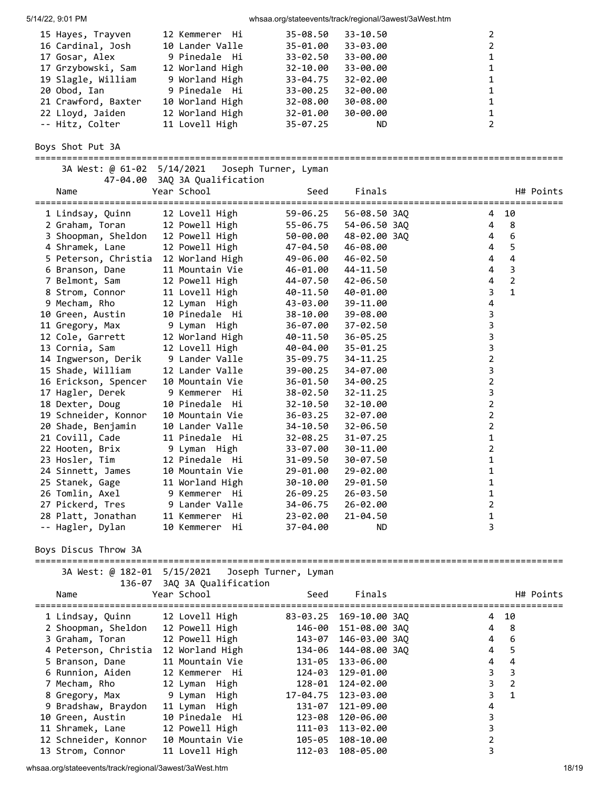| 5/14/22, 9:01 PM                                      |                                            | whsaa.org/stateevents/track/regional/3awest/3aWest.htm |                          |                                       |                |
|-------------------------------------------------------|--------------------------------------------|--------------------------------------------------------|--------------------------|---------------------------------------|----------------|
| 15 Hayes, Trayven                                     | 12 Kemmerer Hi                             | 35-08.50                                               | 33-10.50                 | 2                                     |                |
| 16 Cardinal, Josh                                     | 10 Lander Valle                            | 35-01.00                                               | 33-03.00                 | $\overline{2}$                        |                |
| 17 Gosar, Alex                                        | 9 Pinedale  Hi                             | 33-02.50                                               | 33-00.00                 | 1                                     |                |
| 17 Grzybowski, Sam                                    | 12 Worland High                            | 32-10.00                                               | 33-00.00                 | 1                                     |                |
| 19 Slagle, William                                    | 9 Worland High                             | 33-04.75                                               | 32-02.00                 | 1                                     |                |
| 20 Obod, Ian                                          | 9 Pinedale Hi                              | 33-00.25                                               | $32 - 00.00$             | 1                                     |                |
| 21 Crawford, Baxter                                   | 10 Worland High                            | 32-08.00                                               | 30-08.00                 | 1                                     |                |
| 22 Lloyd, Jaiden                                      | 12 Worland High                            | 32-01.00                                               | 30-00.00                 | 1                                     |                |
| -- Hitz, Colter                                       | 11 Lovell High                             | $35 - 07.25$                                           | ND.                      | $\overline{2}$                        |                |
| Boys Shot Put 3A                                      |                                            |                                                        |                          |                                       |                |
| 3A West: @ 61-02 5/14/2021<br>47-04.00                | 3AQ 3A Qualification                       | Joseph Turner, Lyman                                   |                          |                                       |                |
| Name                                                  | Year School                                | Seed                                                   | Finals<br>===========    | ===================================== | H# Points      |
| 1 Lindsay, Quinn                                      | 12 Lovell High                             | 59-06.25                                               | 56-08.50 3AQ             | 4                                     | 10             |
| 2 Graham, Toran                                       | 12 Powell High                             | 55-06.75                                               | 54-06.50 3AQ             | 4                                     | 8              |
| 3 Shoopman, Sheldon 12 Powell High                    |                                            | 50-00.00                                               | 48-02.00 3AQ             | 4                                     | 6              |
| 4 Shramek, Lane                                       | 12 Powell High                             | 47-04.50                                               | 46-08.00                 | 4                                     | 5              |
| 5 Peterson, Christia 12 Worland High                  |                                            | 49-06.00                                               | 46-02.50                 | 4                                     | 4              |
| 6 Branson, Dane                                       | 11 Mountain Vie                            | 46-01.00                                               | 44-11.50                 | 4                                     | 3              |
| 7 Belmont, Sam                                        | 12 Powell High                             | 44-07.50                                               | 42-06.50                 | 4                                     | $\overline{2}$ |
| 8 Strom, Connor                                       | 11 Lovell High                             | 40-11.50                                               | 40-01.00                 | 3                                     | $\mathbf{1}$   |
| 9 Mecham, Rho                                         | 12 Lyman High<br>10 Pinedale Hi            | 43-03.00                                               | 39-11.00                 | 4                                     |                |
| 10 Green, Austin<br>11 Gregory, Max                   | 9 Lyman High                               | 38-10.00<br>36-07.00                                   | 39-08.00<br>$37 - 02.50$ | 3<br>3                                |                |
| 12 Cole, Garrett                                      | 12 Worland High                            | 40-11.50                                               | $36 - 05.25$             | 3                                     |                |
| 13 Cornia, Sam                                        | 12 Lovell High                             | 40-04.00                                               | $35 - 01.25$             | 3                                     |                |
| 14 Ingwerson, Derik                                   | 9 Lander Valle                             | 35-09.75                                               | 34-11.25                 | $\overline{2}$                        |                |
| 15 Shade, William                                     | 12 Lander Valle                            | 39-00.25                                               | 34-07.00                 | 3                                     |                |
| 16 Erickson, Spencer                                  | 10 Mountain Vie                            | 36-01.50                                               | 34-00.25                 | $\overline{2}$                        |                |
| 17 Hagler, Derek                                      | 9 Kemmerer Hi                              | 38-02.50                                               | $32 - 11.25$             | 3                                     |                |
| 18 Dexter, Doug                                       | 10 Pinedale Hi                             | $32 - 10.50$                                           | 32-10.00                 | $\overline{2}$                        |                |
| 19 Schneider, Konnor                                  | 10 Mountain Vie                            | 36-03.25                                               | 32-07.00                 | $\overline{2}$                        |                |
| 20 Shade, Benjamin                                    | 10 Lander Valle                            | 34-10.50                                               | $32 - 06.50$             | $\overline{2}$                        |                |
| 21 Covill, Cade                                       | 11 Pinedale Hi                             | $32 - 08.25$                                           | $31 - 07.25$             | 1                                     |                |
| 22 Hooten, Brix                                       | 9 Lyman High                               | 33-07.00                                               | 30-11.00                 | $\overline{2}$                        |                |
| 23 Hosler, Tim                                        | 12 Pinedale<br>- Hi                        | 31-09.50                                               | 30-07.50                 | 1                                     |                |
| 24 Sinnett, James                                     | 10 Mountain Vie                            | 29-01.00                                               | 29-02.00                 | 1                                     |                |
| 25 Stanek, Gage                                       | 11 Worland High                            | 30-10.00                                               | 29-01.50                 | 1                                     |                |
| 26 Tomlin, Axel                                       | 9 Kemmerer Hi                              | 26-09.25                                               | 26-03.50                 | 1                                     |                |
| 27 Pickerd, Tres                                      | 9 Lander Valle                             | 34-06.75                                               | 26-02.00                 | 2                                     |                |
| 28 Platt, Jonathan                                    | 11 Kemmerer<br>Hi                          | 23-02.00                                               | $21 - 04.50$             | 1                                     |                |
| -- Hagler, Dylan                                      | 10 Kemmerer<br>Hi                          | 37-04.00                                               | ND.                      | 3                                     |                |
| Boys Discus Throw 3A<br>==================<br>======= |                                            |                                                        |                          |                                       |                |
| 3A West: @ 182-01 5/15/2021                           |                                            | Joseph Turner, Lyman                                   |                          |                                       |                |
| Name                                                  | 136-07 3AQ 3A Qualification<br>Year School | Seed                                                   | Finals                   |                                       | H# Points      |
| 1 Lindsay, Quinn                                      | 12 Lovell High                             |                                                        | 83-03.25 169-10.00 3AQ   | 4                                     | 10             |
| 2 Shoopman, Sheldon                                   | 12 Powell High                             | 146-00                                                 | 151-08.00 3AQ            | 4                                     | 8              |
| 3 Graham, Toran                                       | 12 Powell High                             | 143-07                                                 | 146-03.00 3AQ            | 4                                     | 6              |
| 4 Peterson, Christia                                  | 12 Worland High                            | 134-06                                                 | 144-08.00 3AQ            | 4                                     | 5              |
| 5 Branson, Dane                                       | 11 Mountain Vie                            | 131-05                                                 | 133-06.00                | 4                                     | 4              |
| 6 Runnion, Aiden                                      | 12 Kemmerer Hi                             | 124-03                                                 | 129-01.00                | 3                                     | 3              |
| 7 Mecham, Rho                                         | 12 Lyman High                              | 128-01                                                 | 124-02.00                | 3                                     | 2              |
| 8 Gregory, Max                                        | 9 Lyman High                               | 17-04.75                                               | 123-03.00                | 3                                     | $\mathbf{1}$   |
| 9 Bradshaw, Braydon                                   | 11 Lyman High                              | 131-07                                                 | 121-09.00                | 4                                     |                |
| 10 Green, Austin                                      | 10 Pinedale Hi                             | 123-08                                                 | 120-06.00                | 3<br>3                                |                |
| 11 Shramek, Lane<br>12 Schneider, Konnor              | 12 Powell High<br>10 Mountain Vie          | 111-03                                                 | 113-02.00                | $\overline{2}$                        |                |
| 13 Strom, Connor                                      | 11 Lovell High                             | 105-05<br>112-03                                       | 108-10.00<br>108-05.00   | 3                                     |                |
|                                                       |                                            |                                                        |                          |                                       |                |

whsaa.org/stateevents/track/regional/3awest/3aWest.htm 18/19